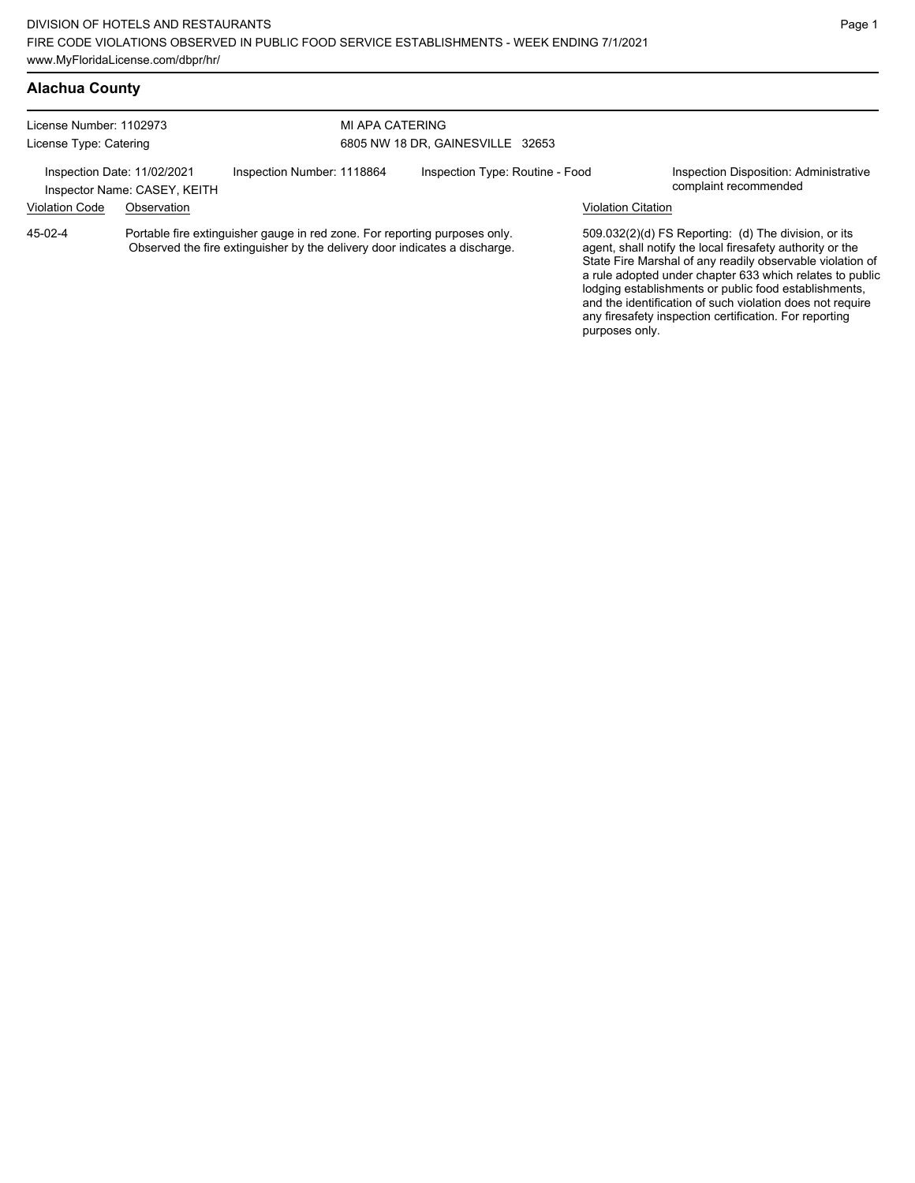# **Alachua County**

| License Number: 1102973<br>License Type: Catering |                                                             | MI APA CATERING                                                                                                                                          | 6805 NW 18 DR, GAINESVILLE 32653 |                           |                                                                                                                                                                                                                                                                                                                                                                  |
|---------------------------------------------------|-------------------------------------------------------------|----------------------------------------------------------------------------------------------------------------------------------------------------------|----------------------------------|---------------------------|------------------------------------------------------------------------------------------------------------------------------------------------------------------------------------------------------------------------------------------------------------------------------------------------------------------------------------------------------------------|
|                                                   | Inspection Date: 11/02/2021<br>Inspector Name: CASEY, KEITH | Inspection Number: 1118864                                                                                                                               | Inspection Type: Routine - Food  |                           | Inspection Disposition: Administrative<br>complaint recommended                                                                                                                                                                                                                                                                                                  |
| <b>Violation Code</b>                             | Observation                                                 |                                                                                                                                                          |                                  | <b>Violation Citation</b> |                                                                                                                                                                                                                                                                                                                                                                  |
| 45-02-4                                           |                                                             | Portable fire extinguisher gauge in red zone. For reporting purposes only.<br>Observed the fire extinguisher by the delivery door indicates a discharge. |                                  |                           | 509.032(2)(d) FS Reporting: (d) The division, or its<br>agent, shall notify the local firesafety authority or the<br>State Fire Marshal of any readily observable violation of<br>a rule adopted under chapter 633 which relates to public<br>lodging establishments or public food establishments,<br>and the identification of such violation does not require |

any firesafety inspection certification. For reporting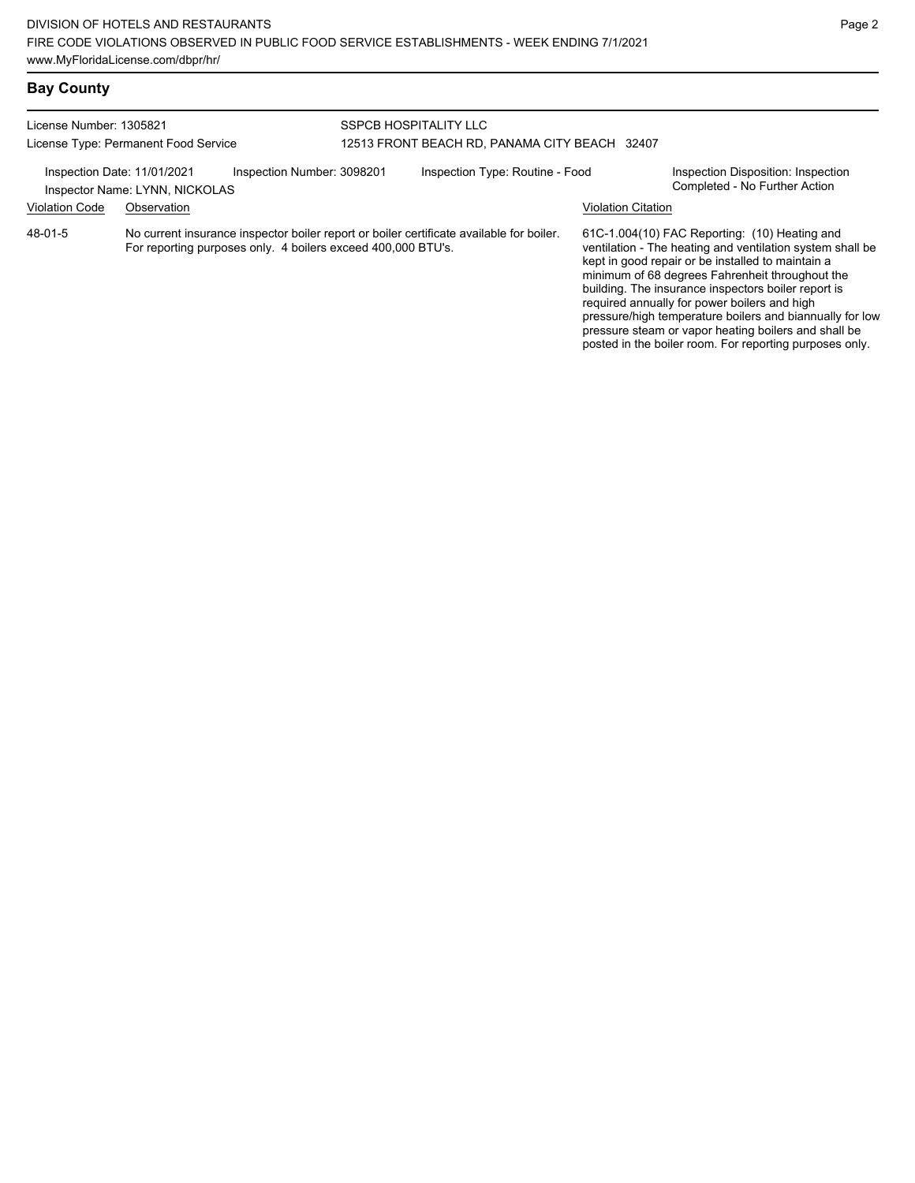#### License Number: 1305821 License Type: Permanent Food Service SSPCB HOSPITALITY LLC 12513 FRONT BEACH RD, PANAMA CITY BEACH 32407 Inspection Date: 11/01/2021 Inspection Number: 3098201 Inspection Type: Routine - Food Inspection Disposition: Inspection<br>Inspector Name: I YNN NICKOLAS Inspector Name: LYNN, NICKOLAS Violation Code Observation Violation Citation No current insurance inspector boiler report or boiler certificate available for boiler. For reporting purposes only. 4 boilers exceed 400,000 BTU's. 61C-1.004(10) FAC Reporting: (10) Heating and ventilation - The heating and ventilation system shall be kept in good repair or be installed to maintain a minimum of 68 degrees Fahrenheit throughout the building. The insurance inspectors boiler report is required annually for power boilers and high 48-01-5

pressure/high temperature boilers and biannually for low pressure steam or vapor heating boilers and shall be posted in the boiler room. For reporting purposes only.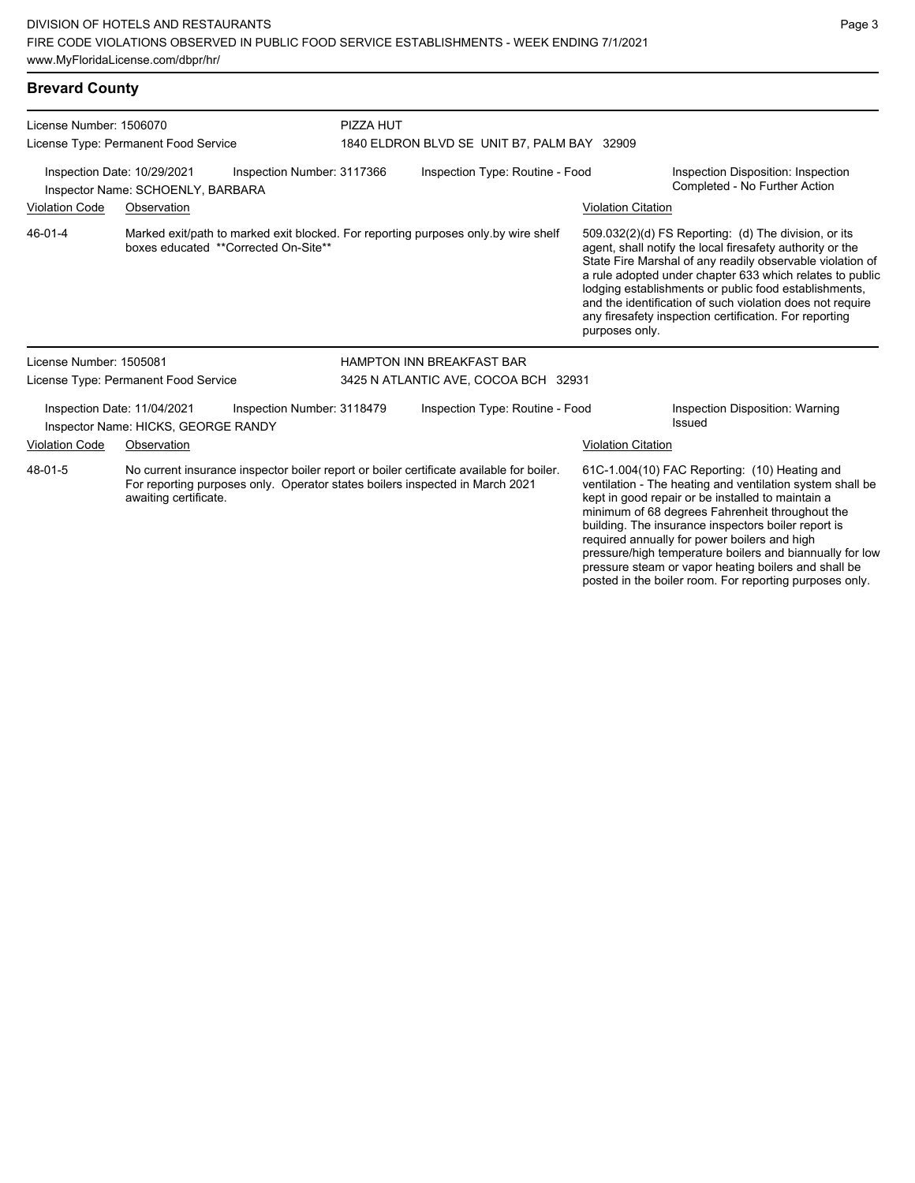| <b>Brevard County</b>                                                                                                                                                                                        |                                                                    |                                      |           |                                                                                    |                                                                                                                                                                 |                                                                                                                                                                                                                                                                                                                                                                                                                            |
|--------------------------------------------------------------------------------------------------------------------------------------------------------------------------------------------------------------|--------------------------------------------------------------------|--------------------------------------|-----------|------------------------------------------------------------------------------------|-----------------------------------------------------------------------------------------------------------------------------------------------------------------|----------------------------------------------------------------------------------------------------------------------------------------------------------------------------------------------------------------------------------------------------------------------------------------------------------------------------------------------------------------------------------------------------------------------------|
| License Number: 1506070                                                                                                                                                                                      |                                                                    |                                      | PIZZA HUT |                                                                                    |                                                                                                                                                                 |                                                                                                                                                                                                                                                                                                                                                                                                                            |
|                                                                                                                                                                                                              | License Type: Permanent Food Service                               |                                      |           | 1840 ELDRON BLVD SE UNIT B7, PALM BAY 32909                                        |                                                                                                                                                                 |                                                                                                                                                                                                                                                                                                                                                                                                                            |
|                                                                                                                                                                                                              | Inspection Date: 10/29/2021<br>Inspector Name: SCHOENLY, BARBARA   | Inspection Number: 3117366           |           | Inspection Type: Routine - Food                                                    |                                                                                                                                                                 | Inspection Disposition: Inspection<br>Completed - No Further Action                                                                                                                                                                                                                                                                                                                                                        |
| <b>Violation Code</b>                                                                                                                                                                                        | Observation                                                        |                                      |           |                                                                                    | <b>Violation Citation</b>                                                                                                                                       |                                                                                                                                                                                                                                                                                                                                                                                                                            |
| 46-01-4                                                                                                                                                                                                      |                                                                    | boxes educated **Corrected On-Site** |           | Marked exit/path to marked exit blocked. For reporting purposes only by wire shelf | purposes only.                                                                                                                                                  | 509.032(2)(d) FS Reporting: (d) The division, or its<br>agent, shall notify the local firesafety authority or the<br>State Fire Marshal of any readily observable violation of<br>a rule adopted under chapter 633 which relates to public<br>lodging establishments or public food establishments,<br>and the identification of such violation does not require<br>any firesafety inspection certification. For reporting |
| License Number: 1505081                                                                                                                                                                                      |                                                                    |                                      |           | <b>HAMPTON INN BREAKFAST BAR</b>                                                   |                                                                                                                                                                 |                                                                                                                                                                                                                                                                                                                                                                                                                            |
| License Type: Permanent Food Service                                                                                                                                                                         |                                                                    | 3425 N ATLANTIC AVE, COCOA BCH 32931 |           |                                                                                    |                                                                                                                                                                 |                                                                                                                                                                                                                                                                                                                                                                                                                            |
|                                                                                                                                                                                                              | Inspection Date: 11/04/2021<br>Inspector Name: HICKS, GEORGE RANDY | Inspection Number: 3118479           |           | Inspection Type: Routine - Food                                                    |                                                                                                                                                                 | Inspection Disposition: Warning<br>Issued                                                                                                                                                                                                                                                                                                                                                                                  |
| <b>Violation Code</b>                                                                                                                                                                                        | Observation                                                        |                                      |           |                                                                                    | <b>Violation Citation</b>                                                                                                                                       |                                                                                                                                                                                                                                                                                                                                                                                                                            |
| No current insurance inspector boiler report or boiler certificate available for boiler.<br>48-01-5<br>For reporting purposes only. Operator states boilers inspected in March 2021<br>awaiting certificate. |                                                                    |                                      |           |                                                                                    | 61C-1.004(10) FAC Reporting: (10) Heating and<br>ventilation - The heating and ventilation system shall be<br>kept in good repair or be installed to maintain a |                                                                                                                                                                                                                                                                                                                                                                                                                            |

)) Heating and ation system shall be o maintain a minimum of 68 degrees Fahrenheit throughout the building. The insurance inspectors boiler report is required annually for power boilers and high pressure/high temperature boilers and biannually for low pressure steam or vapor heating boilers and shall be posted in the boiler room. For reporting purposes only.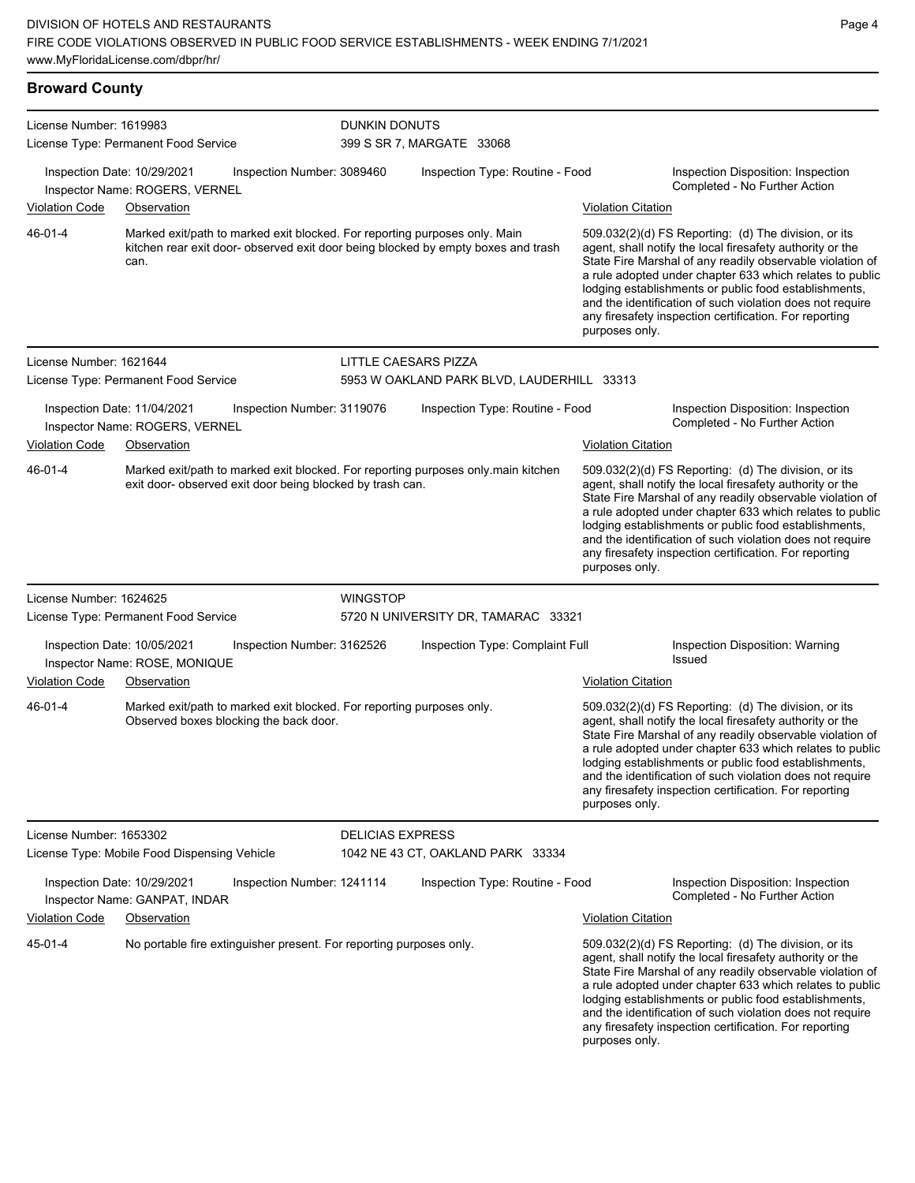| <b>Broward County</b>   |                                                                                    |                            |                                                                                   |                           |                                                                                                                                                                                                                                                                                                                                                                                                                            |
|-------------------------|------------------------------------------------------------------------------------|----------------------------|-----------------------------------------------------------------------------------|---------------------------|----------------------------------------------------------------------------------------------------------------------------------------------------------------------------------------------------------------------------------------------------------------------------------------------------------------------------------------------------------------------------------------------------------------------------|
| License Number: 1619983 |                                                                                    | <b>DUNKIN DONUTS</b>       |                                                                                   |                           |                                                                                                                                                                                                                                                                                                                                                                                                                            |
|                         | License Type: Permanent Food Service                                               |                            | 399 S SR 7, MARGATE 33068                                                         |                           |                                                                                                                                                                                                                                                                                                                                                                                                                            |
|                         | Inspection Date: 10/29/2021<br>Inspector Name: ROGERS, VERNEL                      | Inspection Number: 3089460 | Inspection Type: Routine - Food                                                   |                           | Inspection Disposition: Inspection<br>Completed - No Further Action                                                                                                                                                                                                                                                                                                                                                        |
| <b>Violation Code</b>   | Observation                                                                        |                            |                                                                                   | <b>Violation Citation</b> |                                                                                                                                                                                                                                                                                                                                                                                                                            |
| 46-01-4                 | Marked exit/path to marked exit blocked. For reporting purposes only. Main<br>can. |                            | kitchen rear exit door- observed exit door being blocked by empty boxes and trash | purposes only.            | 509.032(2)(d) FS Reporting: (d) The division, or its<br>agent, shall notify the local firesafety authority or the<br>State Fire Marshal of any readily observable violation of<br>a rule adopted under chapter 633 which relates to public<br>lodging establishments or public food establishments,<br>and the identification of such violation does not require<br>any firesafety inspection certification. For reporting |
| License Number: 1621644 | License Type: Permanent Food Service                                               |                            | <b>LITTLE CAESARS PIZZA</b><br>5953 W OAKLAND PARK BLVD, LAUDERHILL 33313         |                           |                                                                                                                                                                                                                                                                                                                                                                                                                            |

Inspection Date: 11/04/2021 Inspection Number: 3119076 Inspection Type: Routine - Food Inspection Disposition: Inspection Inspector Name: ROGERS, VERNEL **Inspector Name: ROGERS, VERNEL** Violation Code Observation **Violation Citation** Violation Citation Citation Marked exit/path to marked exit blocked. For reporting purposes only.main kitchen exit door- observed exit door being blocked by trash can. 509.032(2)(d) FS Reporting: (d) The division, or its agent, shall notify the local firesafety authority or the State Fire Marshal of any readily observable violation of a rule adopted under chapter 633 which relates to public lodging establishments or public food establishments, and the identification of such violation does not require any firesafety inspection certification. For reporting purposes only. 46-01-4 License Number: 1624625 License Type: Permanent Food Service **WINGSTOP** 5720 N UNIVERSITY DR, TAMARAC 33321 Inspection Date: 10/05/2021 Inspection Number: 3162526 Inspection Type: Complaint Full Inspection Disposition: Warning<br>Inspector Name: ROSE MONIOUE Inspector Name: ROSE, MONIQUE Violation Code Observation Violation Citation Marked exit/path to marked exit blocked. For reporting purposes only. Observed boxes blocking the back door. 509.032(2)(d) FS Reporting: (d) The division, or its agent, shall notify the local firesafety authority or the State Fire Marshal of any readily observable violation of a rule adopted under chapter 633 which relates to public lodging establishments or public food establishments, and the identification of such violation does not require any firesafety inspection certification. For reporting purposes only. 46-01-4

License Number: 1653302 License Type: Mobile Food Dispensing Vehicle DELICIAS EXPRESS 1042 NE 43 CT, OAKLAND PARK 33334 Inspection Date: 10/29/2021 Inspection Number: 1241114 Inspection Type: Routine - Food Inspection Disposition: Inspection Inspector Name: GANPAT, INDAR Violation Code Observation Violation Citation No portable fire extinguisher present. For reporting purposes only. 509.032(2)(d) FS Reporting: (d) The division, or its agent, shall notify the local firesafety authority or the State Fire Marshal of any readily observable violation of a rule adopted under chapter 633 which relates to public lodging establishments or public food establishments, and the identification of such violation does not require any firesafety inspection certification. For reporting purposes only. 45-01-4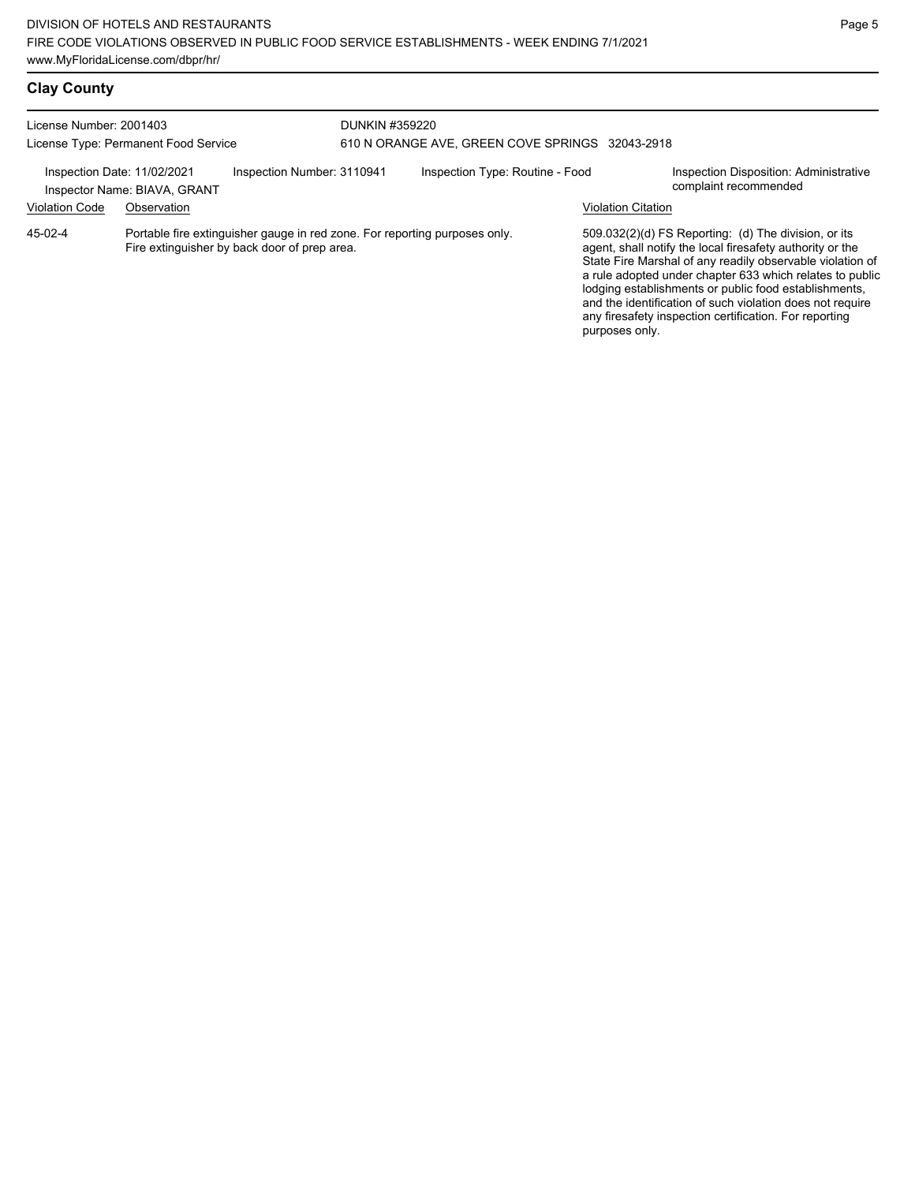| License Number: 2001403<br>License Type: Permanent Food Service |                                             | DUNKIN #359220<br>610 N ORANGE AVE, GREEN COVE SPRINGS 32043-2918                                                          |  |                                 |                           |                                                                                                                                                                                                                                                                                                                                                                                                                              |
|-----------------------------------------------------------------|---------------------------------------------|----------------------------------------------------------------------------------------------------------------------------|--|---------------------------------|---------------------------|------------------------------------------------------------------------------------------------------------------------------------------------------------------------------------------------------------------------------------------------------------------------------------------------------------------------------------------------------------------------------------------------------------------------------|
| Inspection Date: 11/02/2021<br><b>Violation Code</b>            | Inspector Name: BIAVA, GRANT<br>Observation | Inspection Number: 3110941                                                                                                 |  | Inspection Type: Routine - Food | <b>Violation Citation</b> | Inspection Disposition: Administrative<br>complaint recommended                                                                                                                                                                                                                                                                                                                                                              |
| 45-02-4                                                         |                                             | Portable fire extinguisher gauge in red zone. For reporting purposes only.<br>Fire extinguisher by back door of prep area. |  |                                 | purposes only.            | $509.032(2)(d)$ FS Reporting: (d) The division, or its<br>agent, shall notify the local firesafety authority or the<br>State Fire Marshal of any readily observable violation of<br>a rule adopted under chapter 633 which relates to public<br>lodging establishments or public food establishments,<br>and the identification of such violation does not require<br>any firesafety inspection certification. For reporting |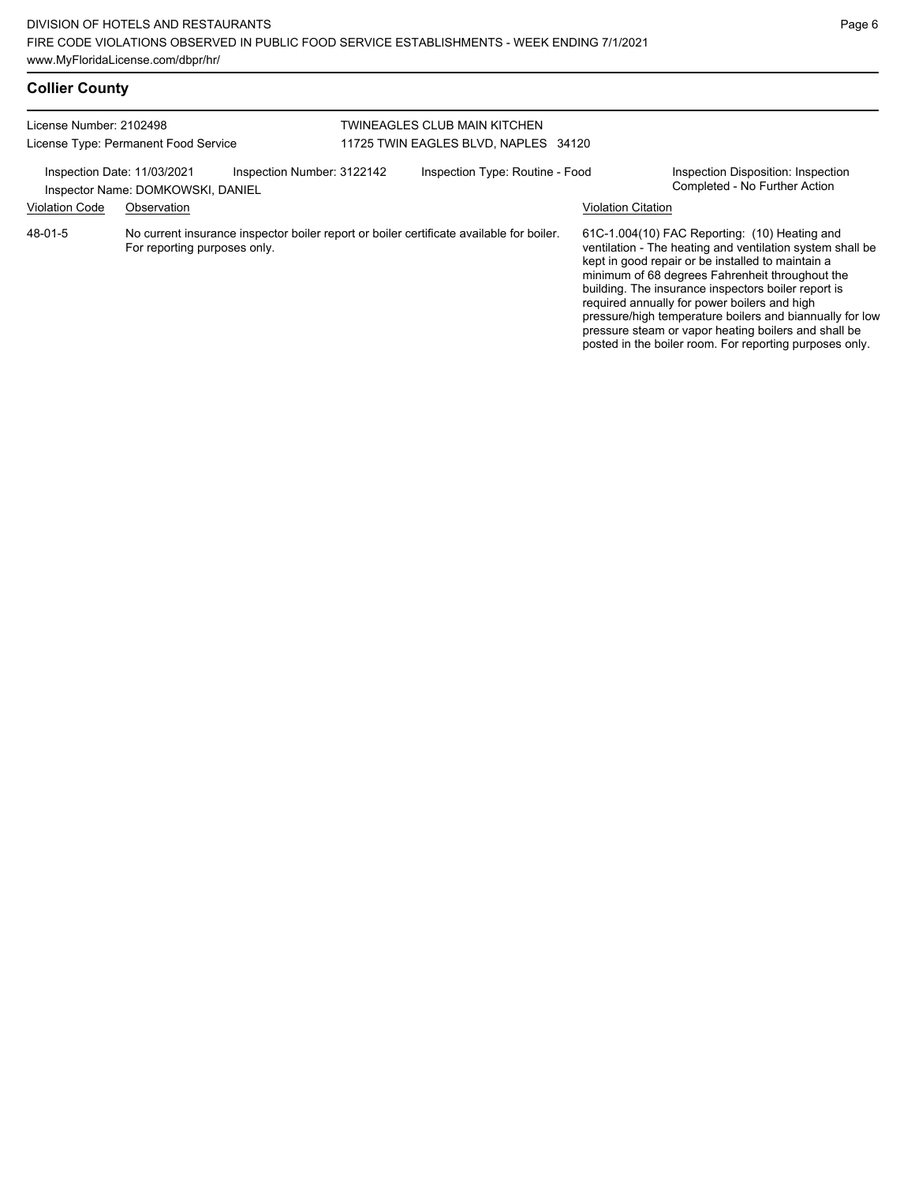posted in the boiler room. For reporting purposes only.

# **Collier County**

| License Number: 2102498<br>License Type: Permanent Food Service |                                   |                                                                                          | TWINEAGLES CLUB MAIN KITCHEN<br>11725 TWIN EAGLES BLVD, NAPLES 34120 |                           |                                                                                                                                                                                                                                                                                                                                                                                                                                               |
|-----------------------------------------------------------------|-----------------------------------|------------------------------------------------------------------------------------------|----------------------------------------------------------------------|---------------------------|-----------------------------------------------------------------------------------------------------------------------------------------------------------------------------------------------------------------------------------------------------------------------------------------------------------------------------------------------------------------------------------------------------------------------------------------------|
| Inspection Date: 11/03/2021                                     | Inspector Name: DOMKOWSKI, DANIEL | Inspection Number: 3122142                                                               | Inspection Type: Routine - Food                                      |                           | Inspection Disposition: Inspection<br>Completed - No Further Action                                                                                                                                                                                                                                                                                                                                                                           |
| <b>Violation Code</b>                                           | Observation                       |                                                                                          |                                                                      | <b>Violation Citation</b> |                                                                                                                                                                                                                                                                                                                                                                                                                                               |
| 48-01-5                                                         | For reporting purposes only.      | No current insurance inspector boiler report or boiler certificate available for boiler. |                                                                      |                           | 61C-1.004(10) FAC Reporting: (10) Heating and<br>ventilation - The heating and ventilation system shall be<br>kept in good repair or be installed to maintain a<br>minimum of 68 degrees Fahrenheit throughout the<br>building. The insurance inspectors boiler report is<br>required annually for power boilers and high<br>pressure/high temperature boilers and biannually for low<br>pressure steam or vapor heating boilers and shall be |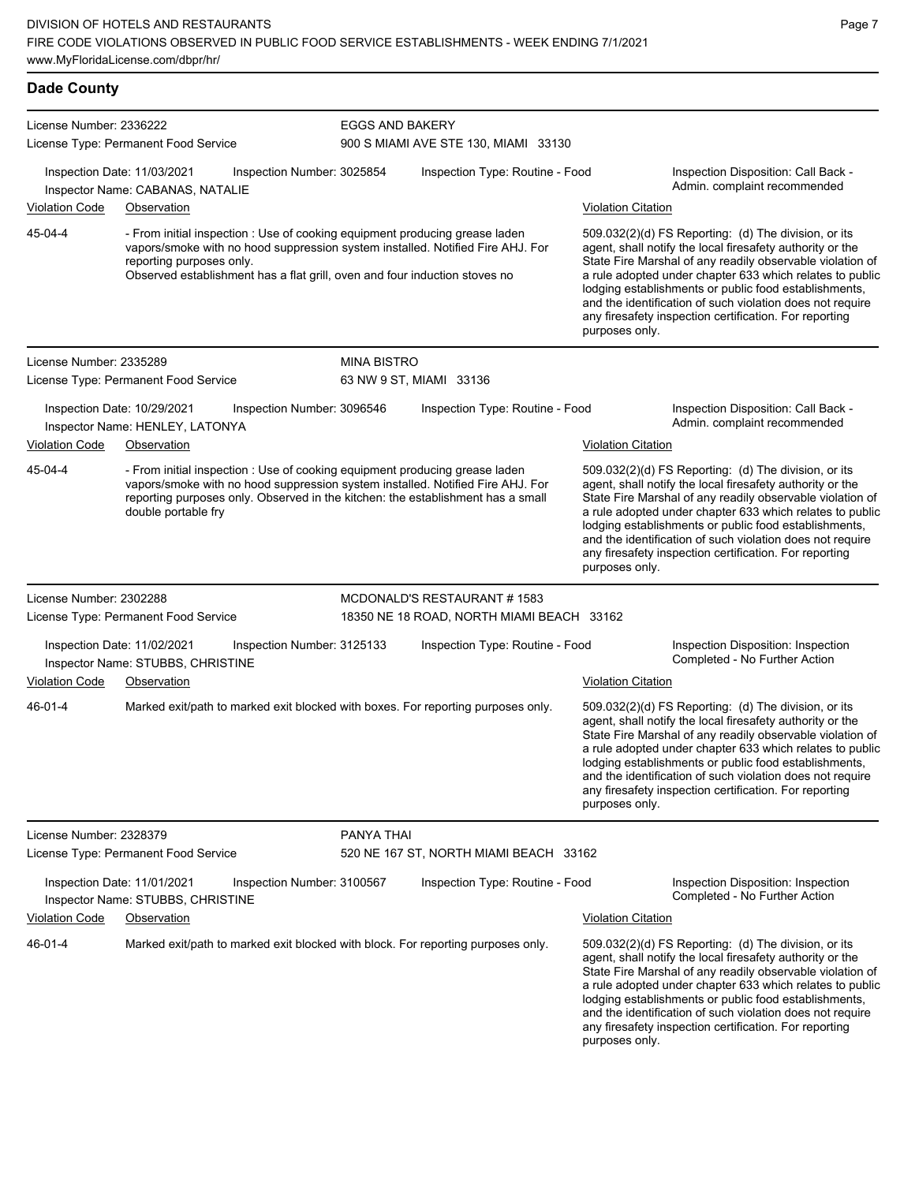| <b>Dade County</b>      |                                                                                 |                                                                                                                                                           |                        |                                                                                                                                                                   |                           |                                                                                                                                                                                                                                                                                                                                                                                                                            |
|-------------------------|---------------------------------------------------------------------------------|-----------------------------------------------------------------------------------------------------------------------------------------------------------|------------------------|-------------------------------------------------------------------------------------------------------------------------------------------------------------------|---------------------------|----------------------------------------------------------------------------------------------------------------------------------------------------------------------------------------------------------------------------------------------------------------------------------------------------------------------------------------------------------------------------------------------------------------------------|
| License Number: 2336222 |                                                                                 |                                                                                                                                                           | <b>EGGS AND BAKERY</b> |                                                                                                                                                                   |                           |                                                                                                                                                                                                                                                                                                                                                                                                                            |
|                         | License Type: Permanent Food Service                                            |                                                                                                                                                           |                        | 900 S MIAMI AVE STE 130, MIAMI 33130                                                                                                                              |                           |                                                                                                                                                                                                                                                                                                                                                                                                                            |
|                         | Inspection Date: 11/03/2021<br>Inspector Name: CABANAS, NATALIE                 | Inspection Number: 3025854                                                                                                                                |                        | Inspection Type: Routine - Food                                                                                                                                   |                           | Inspection Disposition: Call Back -<br>Admin. complaint recommended                                                                                                                                                                                                                                                                                                                                                        |
| <b>Violation Code</b>   | Observation                                                                     |                                                                                                                                                           |                        |                                                                                                                                                                   | Violation Citation        |                                                                                                                                                                                                                                                                                                                                                                                                                            |
| 45-04-4                 | reporting purposes only.                                                        | - From initial inspection : Use of cooking equipment producing grease laden<br>Observed establishment has a flat grill, oven and four induction stoves no |                        | vapors/smoke with no hood suppression system installed. Notified Fire AHJ. For                                                                                    | purposes only.            | 509.032(2)(d) FS Reporting: (d) The division, or its<br>agent, shall notify the local firesafety authority or the<br>State Fire Marshal of any readily observable violation of<br>a rule adopted under chapter 633 which relates to public<br>lodging establishments or public food establishments,<br>and the identification of such violation does not require<br>any firesafety inspection certification. For reporting |
| License Number: 2335289 |                                                                                 |                                                                                                                                                           | <b>MINA BISTRO</b>     |                                                                                                                                                                   |                           |                                                                                                                                                                                                                                                                                                                                                                                                                            |
|                         | License Type: Permanent Food Service                                            |                                                                                                                                                           |                        | 63 NW 9 ST, MIAMI 33136                                                                                                                                           |                           |                                                                                                                                                                                                                                                                                                                                                                                                                            |
|                         | Inspection Date: 10/29/2021<br>Inspector Name: HENLEY, LATONYA                  | Inspection Number: 3096546                                                                                                                                |                        | Inspection Type: Routine - Food                                                                                                                                   |                           | Inspection Disposition: Call Back -<br>Admin. complaint recommended                                                                                                                                                                                                                                                                                                                                                        |
| <b>Violation Code</b>   | Observation                                                                     |                                                                                                                                                           |                        |                                                                                                                                                                   | <b>Violation Citation</b> |                                                                                                                                                                                                                                                                                                                                                                                                                            |
| 45-04-4                 | double portable fry                                                             | - From initial inspection : Use of cooking equipment producing grease laden                                                                               |                        | vapors/smoke with no hood suppression system installed. Notified Fire AHJ. For<br>reporting purposes only. Observed in the kitchen: the establishment has a small | purposes only.            | 509.032(2)(d) FS Reporting: (d) The division, or its<br>agent, shall notify the local firesafety authority or the<br>State Fire Marshal of any readily observable violation of<br>a rule adopted under chapter 633 which relates to public<br>lodging establishments or public food establishments,<br>and the identification of such violation does not require<br>any firesafety inspection certification. For reporting |
| License Number: 2302288 |                                                                                 |                                                                                                                                                           |                        | MCDONALD'S RESTAURANT # 1583                                                                                                                                      |                           |                                                                                                                                                                                                                                                                                                                                                                                                                            |
|                         | License Type: Permanent Food Service                                            |                                                                                                                                                           |                        | 18350 NE 18 ROAD, NORTH MIAMI BEACH 33162                                                                                                                         |                           |                                                                                                                                                                                                                                                                                                                                                                                                                            |
| Violation Code          | Inspection Date: 11/02/2021<br>Inspector Name: STUBBS, CHRISTINE<br>Observation | Inspection Number: 3125133                                                                                                                                |                        | Inspection Type: Routine - Food                                                                                                                                   | <b>Violation Citation</b> | Inspection Disposition: Inspection<br>Completed - No Further Action                                                                                                                                                                                                                                                                                                                                                        |
| 46-01-4                 |                                                                                 |                                                                                                                                                           |                        | Marked exit/path to marked exit blocked with boxes. For reporting purposes only.                                                                                  | purposes only.            | 509.032(2)(d) FS Reporting: (d) The division, or its<br>agent, shall notify the local firesafety authority or the<br>State Fire Marshal of any readily observable violation of<br>a rule adopted under chapter 633 which relates to public<br>lodging establishments or public food establishments,<br>and the identification of such violation does not require<br>any firesafety inspection certification. For reporting |
| License Number: 2328379 |                                                                                 |                                                                                                                                                           | PANYA THAI             |                                                                                                                                                                   |                           |                                                                                                                                                                                                                                                                                                                                                                                                                            |
|                         | License Type: Permanent Food Service                                            |                                                                                                                                                           |                        | 520 NE 167 ST, NORTH MIAMI BEACH 33162                                                                                                                            |                           |                                                                                                                                                                                                                                                                                                                                                                                                                            |
|                         | Inspection Date: 11/01/2021<br>Inspector Name: STUBBS, CHRISTINE                | Inspection Number: 3100567                                                                                                                                |                        | Inspection Type: Routine - Food                                                                                                                                   |                           | Inspection Disposition: Inspection<br>Completed - No Further Action                                                                                                                                                                                                                                                                                                                                                        |

Violation Code Observation Violation Citation

Marked exit/path to marked exit blocked with block. For reporting purposes only. 509.032(2)(d) FS Reporting: (d) The division, or its 46-01-4

agent, shall notify the local firesafety authority or the State Fire Marshal of any readily observable violation of a rule adopted under chapter 633 which relates to public lodging establishments or public food establishments, and the identification of such violation does not require any firesafety inspection certification. For reporting purposes only.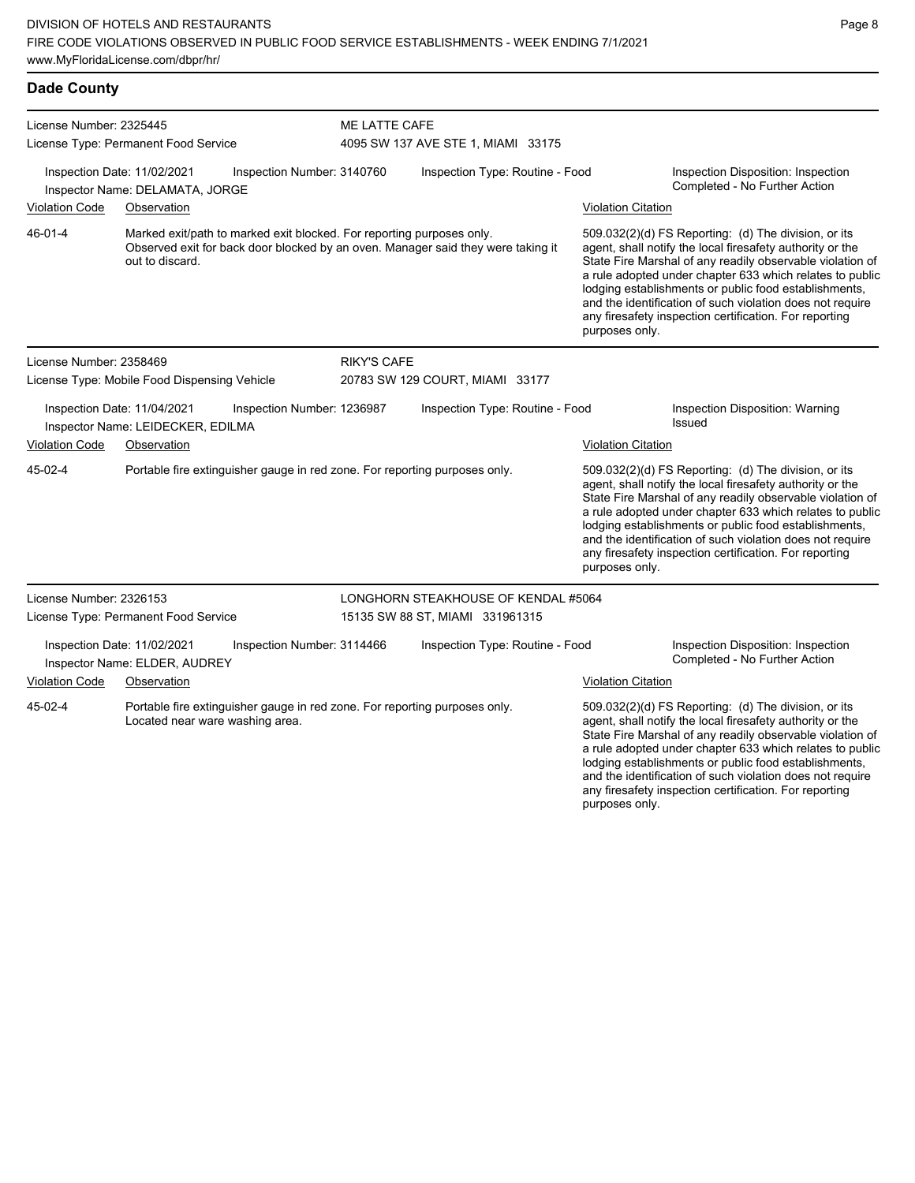| <b>Dade County</b>      |                                                                                                |                                                                                  |                                                                                                                                                                                                                                                                                                                                                                                                                                              |
|-------------------------|------------------------------------------------------------------------------------------------|----------------------------------------------------------------------------------|----------------------------------------------------------------------------------------------------------------------------------------------------------------------------------------------------------------------------------------------------------------------------------------------------------------------------------------------------------------------------------------------------------------------------------------------|
| License Number: 2325445 | License Type: Permanent Food Service                                                           | ME LATTE CAFE<br>4095 SW 137 AVE STE 1, MIAMI 33175                              |                                                                                                                                                                                                                                                                                                                                                                                                                                              |
|                         | Inspection Date: 11/02/2021<br>Inspection Number: 3140760<br>Inspector Name: DELAMATA, JORGE   | Inspection Type: Routine - Food                                                  | Inspection Disposition: Inspection<br>Completed - No Further Action                                                                                                                                                                                                                                                                                                                                                                          |
| <b>Violation Code</b>   | Observation                                                                                    |                                                                                  | <b>Violation Citation</b>                                                                                                                                                                                                                                                                                                                                                                                                                    |
| $46 - 01 - 4$           | Marked exit/path to marked exit blocked. For reporting purposes only.<br>out to discard.       | Observed exit for back door blocked by an oven. Manager said they were taking it | 509.032(2)(d) FS Reporting: (d) The division, or its<br>agent, shall notify the local firesafety authority or the<br>State Fire Marshal of any readily observable violation of<br>a rule adopted under chapter 633 which relates to public<br>lodging establishments or public food establishments,<br>and the identification of such violation does not require<br>any firesafety inspection certification. For reporting<br>purposes only. |
| License Number: 2358469 |                                                                                                | <b>RIKY'S CAFE</b>                                                               |                                                                                                                                                                                                                                                                                                                                                                                                                                              |
|                         | License Type: Mobile Food Dispensing Vehicle                                                   | 20783 SW 129 COURT, MIAMI 33177                                                  |                                                                                                                                                                                                                                                                                                                                                                                                                                              |
|                         | Inspection Date: 11/04/2021<br>Inspection Number: 1236987<br>Inspector Name: LEIDECKER, EDILMA | Inspection Type: Routine - Food                                                  | Inspection Disposition: Warning<br>Issued                                                                                                                                                                                                                                                                                                                                                                                                    |
| <b>Violation Code</b>   | Observation                                                                                    |                                                                                  | <b>Violation Citation</b>                                                                                                                                                                                                                                                                                                                                                                                                                    |
| 45-02-4                 | Portable fire extinguisher gauge in red zone. For reporting purposes only.                     |                                                                                  | 509.032(2)(d) FS Reporting: (d) The division, or its<br>agent, shall notify the local firesafety authority or the<br>State Fire Marshal of any readily observable violation of<br>a rule adopted under chapter 633 which relates to public<br>lodging establishments or public food establishments,<br>and the identification of such violation does not require<br>any firesafety inspection certification. For reporting<br>purposes only. |

Page 8

lodging establishments or public food establishments, and the identification of such violation does not require any firesafety inspection certification. For reporting

| License Number: 2326153<br>License Type: Permanent Food Service |                                                              | LONGHORN STEAKHOUSE OF KENDAL #5064<br>15135 SW 88 ST, MIAMI 331961315     |                                 |                           |                                                                                                                                                                                                                                            |
|-----------------------------------------------------------------|--------------------------------------------------------------|----------------------------------------------------------------------------|---------------------------------|---------------------------|--------------------------------------------------------------------------------------------------------------------------------------------------------------------------------------------------------------------------------------------|
|                                                                 | Inspection Date: 11/02/2021<br>Inspector Name: ELDER, AUDREY | Inspection Number: 3114466                                                 | Inspection Type: Routine - Food |                           | Inspection Disposition: Inspection<br>Completed - No Further Action                                                                                                                                                                        |
| <b>Violation Code</b>                                           | Observation                                                  |                                                                            |                                 | <b>Violation Citation</b> |                                                                                                                                                                                                                                            |
| 45-02-4                                                         | Located near ware washing area.                              | Portable fire extinguisher gauge in red zone. For reporting purposes only. |                                 |                           | 509.032(2)(d) FS Reporting: (d) The division, or its<br>agent, shall notify the local firesafety authority or the<br>State Fire Marshal of any readily observable violation of<br>a rule adopted under chapter 633 which relates to public |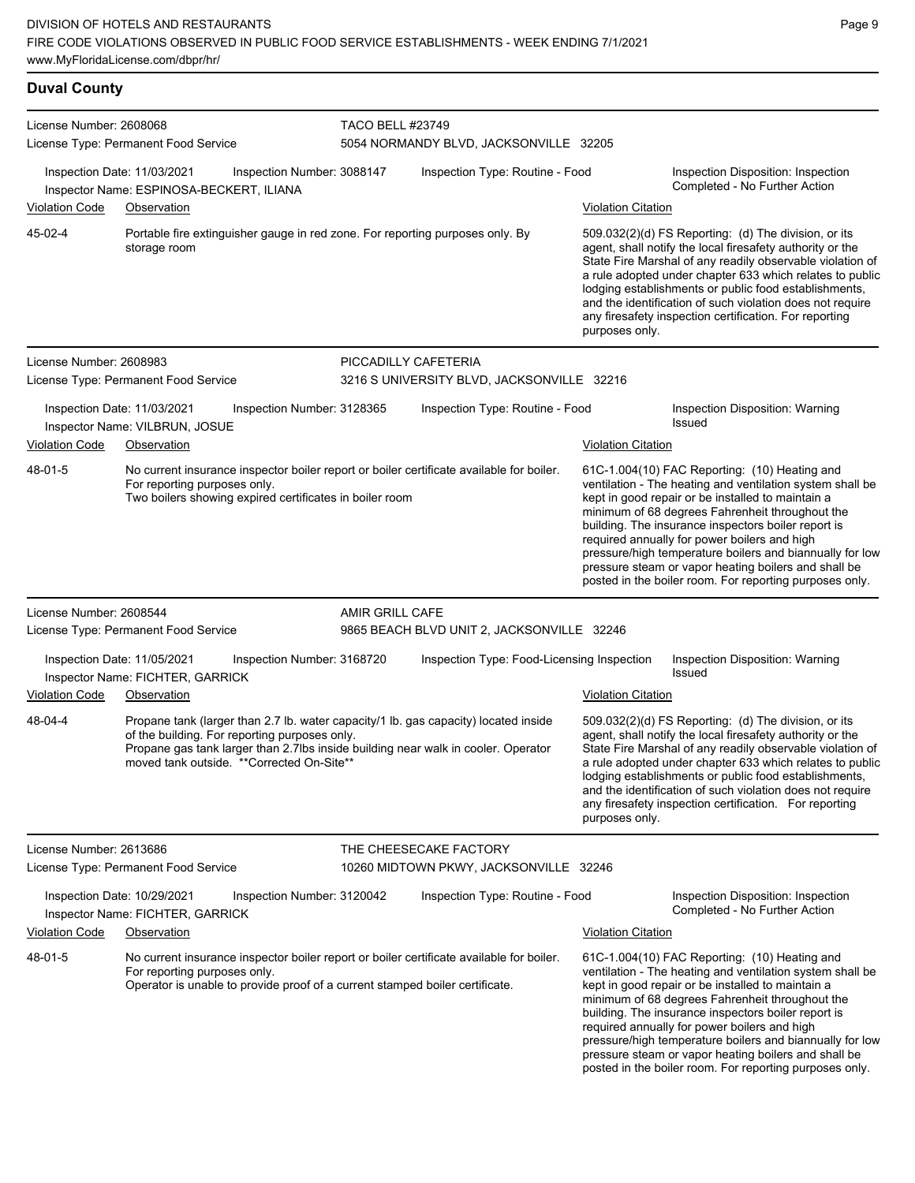### **Duval County**

| License Number: 2608068 |                                                                         |                                                                                            | <b>TACO BELL #23749</b> |                                                                                                                                                                          |                           |                                                                                                                                                                                                                                                                                                                                                                                                                                                                                                          |  |
|-------------------------|-------------------------------------------------------------------------|--------------------------------------------------------------------------------------------|-------------------------|--------------------------------------------------------------------------------------------------------------------------------------------------------------------------|---------------------------|----------------------------------------------------------------------------------------------------------------------------------------------------------------------------------------------------------------------------------------------------------------------------------------------------------------------------------------------------------------------------------------------------------------------------------------------------------------------------------------------------------|--|
|                         | License Type: Permanent Food Service                                    |                                                                                            |                         | 5054 NORMANDY BLVD, JACKSONVILLE 32205                                                                                                                                   |                           |                                                                                                                                                                                                                                                                                                                                                                                                                                                                                                          |  |
|                         | Inspection Date: 11/03/2021<br>Inspector Name: ESPINOSA-BECKERT, ILIANA | Inspection Number: 3088147                                                                 |                         | Inspection Type: Routine - Food                                                                                                                                          |                           | Inspection Disposition: Inspection<br>Completed - No Further Action                                                                                                                                                                                                                                                                                                                                                                                                                                      |  |
| <b>Violation Code</b>   | Observation                                                             |                                                                                            |                         |                                                                                                                                                                          | Violation Citation        |                                                                                                                                                                                                                                                                                                                                                                                                                                                                                                          |  |
| 45-02-4                 | storage room                                                            |                                                                                            |                         | Portable fire extinguisher gauge in red zone. For reporting purposes only. By                                                                                            | purposes only.            | 509.032(2)(d) FS Reporting: (d) The division, or its<br>agent, shall notify the local firesafety authority or the<br>State Fire Marshal of any readily observable violation of<br>a rule adopted under chapter 633 which relates to public<br>lodging establishments or public food establishments,<br>and the identification of such violation does not require<br>any firesafety inspection certification. For reporting                                                                               |  |
| License Number: 2608983 |                                                                         |                                                                                            |                         | PICCADILLY CAFETERIA                                                                                                                                                     |                           |                                                                                                                                                                                                                                                                                                                                                                                                                                                                                                          |  |
|                         | License Type: Permanent Food Service                                    |                                                                                            |                         | 3216 S UNIVERSITY BLVD, JACKSONVILLE 32216                                                                                                                               |                           |                                                                                                                                                                                                                                                                                                                                                                                                                                                                                                          |  |
|                         | Inspection Date: 11/03/2021<br>Inspector Name: VILBRUN, JOSUE           | Inspection Number: 3128365                                                                 |                         | Inspection Type: Routine - Food                                                                                                                                          |                           | Inspection Disposition: Warning<br><b>Issued</b>                                                                                                                                                                                                                                                                                                                                                                                                                                                         |  |
| <b>Violation Code</b>   | Observation                                                             |                                                                                            |                         |                                                                                                                                                                          | <b>Violation Citation</b> |                                                                                                                                                                                                                                                                                                                                                                                                                                                                                                          |  |
| 48-01-5                 | For reporting purposes only.                                            | Two boilers showing expired certificates in boiler room                                    |                         | No current insurance inspector boiler report or boiler certificate available for boiler.                                                                                 |                           | 61C-1.004(10) FAC Reporting: (10) Heating and<br>ventilation - The heating and ventilation system shall be<br>kept in good repair or be installed to maintain a<br>minimum of 68 degrees Fahrenheit throughout the<br>building. The insurance inspectors boiler report is<br>required annually for power boilers and high<br>pressure/high temperature boilers and biannually for low<br>pressure steam or vapor heating boilers and shall be<br>posted in the boiler room. For reporting purposes only. |  |
| License Number: 2608544 |                                                                         |                                                                                            | AMIR GRILL CAFE         |                                                                                                                                                                          |                           |                                                                                                                                                                                                                                                                                                                                                                                                                                                                                                          |  |
|                         | License Type: Permanent Food Service                                    |                                                                                            |                         | 9865 BEACH BLVD UNIT 2, JACKSONVILLE 32246                                                                                                                               |                           |                                                                                                                                                                                                                                                                                                                                                                                                                                                                                                          |  |
|                         | Inspection Date: 11/05/2021<br>Inspector Name: FICHTER, GARRICK         | Inspection Number: 3168720                                                                 |                         | Inspection Type: Food-Licensing Inspection                                                                                                                               |                           | Inspection Disposition: Warning<br>Issued                                                                                                                                                                                                                                                                                                                                                                                                                                                                |  |
| <b>Violation Code</b>   | Observation                                                             |                                                                                            |                         |                                                                                                                                                                          | <b>Violation Citation</b> |                                                                                                                                                                                                                                                                                                                                                                                                                                                                                                          |  |
| 48-04-4                 |                                                                         | of the building. For reporting purposes only.<br>moved tank outside. **Corrected On-Site** |                         | Propane tank (larger than 2.7 lb. water capacity/1 lb. gas capacity) located inside<br>Propane gas tank larger than 2.7lbs inside building near walk in cooler. Operator | purposes only.            | 509.032(2)(d) FS Reporting: (d) The division, or its<br>agent, shall notify the local firesafety authority or the<br>State Fire Marshal of any readily observable violation of<br>a rule adopted under chapter 633 which relates to public<br>lodging establishments or public food establishments,<br>and the identification of such violation does not require<br>any firesafety inspection certification. For reporting                                                                               |  |
| License Number: 2613686 |                                                                         |                                                                                            |                         | THE CHEESECAKE FACTORY                                                                                                                                                   |                           |                                                                                                                                                                                                                                                                                                                                                                                                                                                                                                          |  |
|                         | License Type: Permanent Food Service                                    |                                                                                            |                         | 10260 MIDTOWN PKWY, JACKSONVILLE 32246                                                                                                                                   |                           |                                                                                                                                                                                                                                                                                                                                                                                                                                                                                                          |  |
|                         | Inspection Date: 10/29/2021<br>Inspector Name: FICHTER, GARRICK         | Inspection Number: 3120042                                                                 |                         | Inspection Type: Routine - Food                                                                                                                                          |                           | Inspection Disposition: Inspection<br>Completed - No Further Action                                                                                                                                                                                                                                                                                                                                                                                                                                      |  |
| <b>Violation Code</b>   | Observation                                                             |                                                                                            |                         |                                                                                                                                                                          | <b>Violation Citation</b> |                                                                                                                                                                                                                                                                                                                                                                                                                                                                                                          |  |
| 48-01-5                 | For reporting purposes only.                                            | Operator is unable to provide proof of a current stamped boiler certificate.               |                         | No current insurance inspector boiler report or boiler certificate available for boiler.                                                                                 |                           | 61C-1.004(10) FAC Reporting: (10) Heating and<br>ventilation - The heating and ventilation system shall be<br>kept in good repair or be installed to maintain a<br>minimum of 68 degrees Fahrenheit throughout the<br>building. The insurance inspectors boiler report is<br>required annually for power boilers and high<br>pressure/high temperature boilers and biannually for low<br>pressure steam or vapor heating boilers and shall be<br>posted in the boiler room. For reporting purposes only. |  |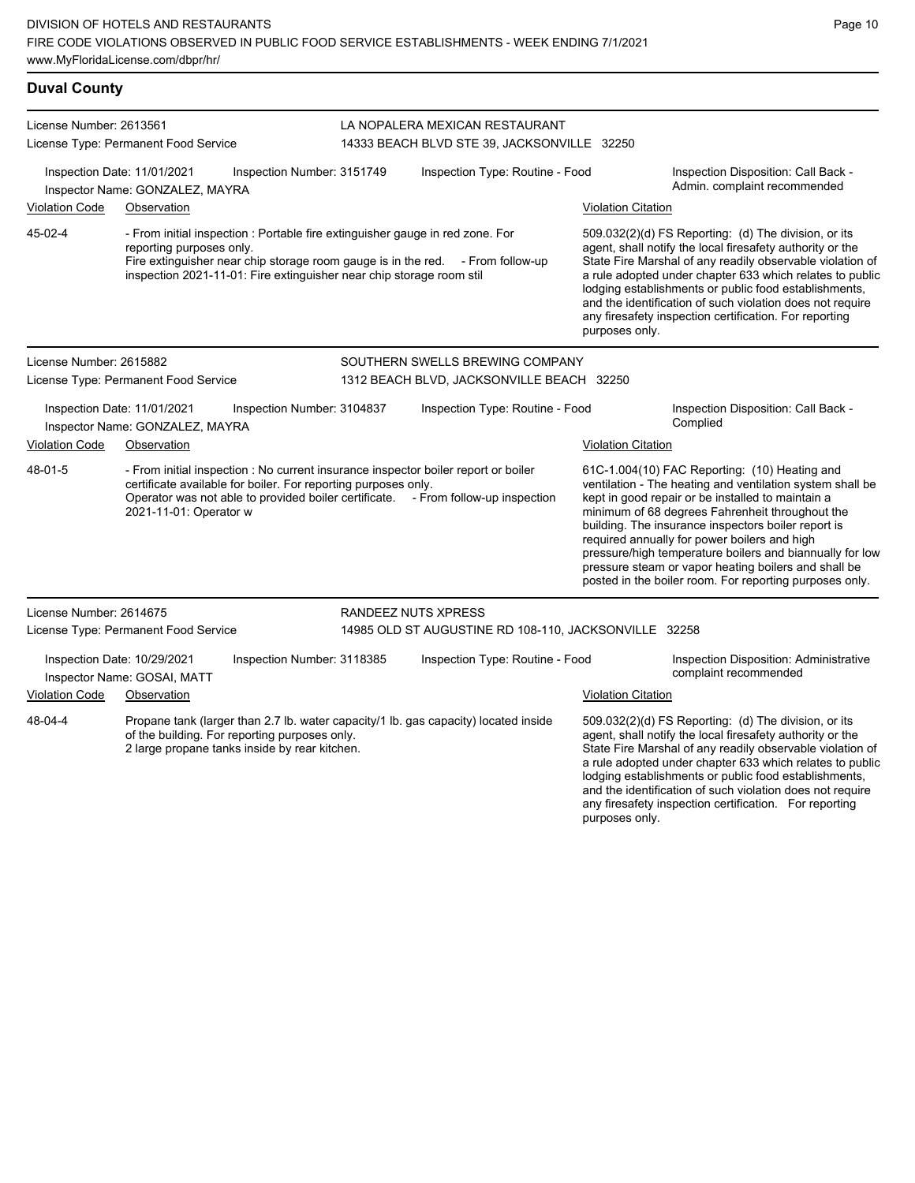| <b>Duval County</b>     |                                                                                                                                                                                                                                                                     |                            |                                                                                                                                                                                                                                                                                                                                                                                                                                                                                                                                                                                                                 |                           |                                                                                                                                                                                                                                                                                                                                                                                                                                                                                                          |  |  |
|-------------------------|---------------------------------------------------------------------------------------------------------------------------------------------------------------------------------------------------------------------------------------------------------------------|----------------------------|-----------------------------------------------------------------------------------------------------------------------------------------------------------------------------------------------------------------------------------------------------------------------------------------------------------------------------------------------------------------------------------------------------------------------------------------------------------------------------------------------------------------------------------------------------------------------------------------------------------------|---------------------------|----------------------------------------------------------------------------------------------------------------------------------------------------------------------------------------------------------------------------------------------------------------------------------------------------------------------------------------------------------------------------------------------------------------------------------------------------------------------------------------------------------|--|--|
| License Number: 2613561 |                                                                                                                                                                                                                                                                     |                            | LA NOPALERA MEXICAN RESTAURANT                                                                                                                                                                                                                                                                                                                                                                                                                                                                                                                                                                                  |                           |                                                                                                                                                                                                                                                                                                                                                                                                                                                                                                          |  |  |
|                         | License Type: Permanent Food Service                                                                                                                                                                                                                                |                            | 14333 BEACH BLVD STE 39, JACKSONVILLE 32250                                                                                                                                                                                                                                                                                                                                                                                                                                                                                                                                                                     |                           |                                                                                                                                                                                                                                                                                                                                                                                                                                                                                                          |  |  |
|                         | Inspection Date: 11/01/2021<br>Inspector Name: GONZALEZ, MAYRA                                                                                                                                                                                                      | Inspection Number: 3151749 | Inspection Type: Routine - Food                                                                                                                                                                                                                                                                                                                                                                                                                                                                                                                                                                                 |                           | Inspection Disposition: Call Back -<br>Admin. complaint recommended                                                                                                                                                                                                                                                                                                                                                                                                                                      |  |  |
| <b>Violation Code</b>   | Observation                                                                                                                                                                                                                                                         |                            |                                                                                                                                                                                                                                                                                                                                                                                                                                                                                                                                                                                                                 | <b>Violation Citation</b> |                                                                                                                                                                                                                                                                                                                                                                                                                                                                                                          |  |  |
| 45-02-4                 | reporting purposes only.<br>inspection 2021-11-01: Fire extinguisher near chip storage room stil                                                                                                                                                                    |                            | - From initial inspection : Portable fire extinguisher gauge in red zone. For<br>509.032(2)(d) FS Reporting: (d) The division, or its<br>agent, shall notify the local firesafety authority or the<br>Fire extinguisher near chip storage room gauge is in the red. - From follow-up<br>State Fire Marshal of any readily observable violation of<br>a rule adopted under chapter 633 which relates to public<br>lodging establishments or public food establishments,<br>and the identification of such violation does not require<br>any firesafety inspection certification. For reporting<br>purposes only. |                           |                                                                                                                                                                                                                                                                                                                                                                                                                                                                                                          |  |  |
| License Number: 2615882 | License Type: Permanent Food Service                                                                                                                                                                                                                                |                            | SOUTHERN SWELLS BREWING COMPANY<br>1312 BEACH BLVD, JACKSONVILLE BEACH 32250                                                                                                                                                                                                                                                                                                                                                                                                                                                                                                                                    |                           |                                                                                                                                                                                                                                                                                                                                                                                                                                                                                                          |  |  |
|                         | Inspection Date: 11/01/2021<br>Inspector Name: GONZALEZ, MAYRA                                                                                                                                                                                                      | Inspection Number: 3104837 | Inspection Type: Routine - Food                                                                                                                                                                                                                                                                                                                                                                                                                                                                                                                                                                                 |                           | Inspection Disposition: Call Back -<br>Complied                                                                                                                                                                                                                                                                                                                                                                                                                                                          |  |  |
| <b>Violation Code</b>   | Observation                                                                                                                                                                                                                                                         |                            |                                                                                                                                                                                                                                                                                                                                                                                                                                                                                                                                                                                                                 | <b>Violation Citation</b> |                                                                                                                                                                                                                                                                                                                                                                                                                                                                                                          |  |  |
| 48-01-5                 | - From initial inspection : No current insurance inspector boiler report or boiler<br>certificate available for boiler. For reporting purposes only.<br>Operator was not able to provided boiler certificate. - From follow-up inspection<br>2021-11-01: Operator w |                            |                                                                                                                                                                                                                                                                                                                                                                                                                                                                                                                                                                                                                 |                           | 61C-1.004(10) FAC Reporting: (10) Heating and<br>ventilation - The heating and ventilation system shall be<br>kept in good repair or be installed to maintain a<br>minimum of 68 degrees Fahrenheit throughout the<br>building. The insurance inspectors boiler report is<br>required annually for power boilers and high<br>pressure/high temperature boilers and biannually for low<br>pressure steam or vapor heating boilers and shall be<br>posted in the boiler room. For reporting purposes only. |  |  |
| License Number: 2614675 |                                                                                                                                                                                                                                                                     |                            | RANDEEZ NUTS XPRESS                                                                                                                                                                                                                                                                                                                                                                                                                                                                                                                                                                                             |                           |                                                                                                                                                                                                                                                                                                                                                                                                                                                                                                          |  |  |
|                         | License Type: Permanent Food Service                                                                                                                                                                                                                                |                            | 14985 OLD ST AUGUSTINE RD 108-110, JACKSONVILLE 32258                                                                                                                                                                                                                                                                                                                                                                                                                                                                                                                                                           |                           |                                                                                                                                                                                                                                                                                                                                                                                                                                                                                                          |  |  |
|                         | Inspection Date: 10/29/2021<br>Inspector Name: GOSAI, MATT                                                                                                                                                                                                          | Inspection Number: 3118385 | Inspection Type: Routine - Food                                                                                                                                                                                                                                                                                                                                                                                                                                                                                                                                                                                 |                           | Inspection Disposition: Administrative<br>complaint recommended                                                                                                                                                                                                                                                                                                                                                                                                                                          |  |  |
| <b>Violation Code</b>   | Observation                                                                                                                                                                                                                                                         |                            |                                                                                                                                                                                                                                                                                                                                                                                                                                                                                                                                                                                                                 | <b>Violation Citation</b> |                                                                                                                                                                                                                                                                                                                                                                                                                                                                                                          |  |  |
| 48-04-4                 | Propane tank (larger than 2.7 lb. water capacity/1 lb. gas capacity) located inside                                                                                                                                                                                 |                            |                                                                                                                                                                                                                                                                                                                                                                                                                                                                                                                                                                                                                 |                           | 509.032(2)(d) FS Reporting: (d) The division, or its<br>ه است برا بر باشنگذار<br>دا د ماناند خانه د د ماه مانان ماند که م                                                                                                                                                                                                                                                                                                                                                                                |  |  |

of the building. For reporting purposes only. 2 large propane tanks inside by rear kitchen. agent, shall notify the local firesafety authority or the State Fire Marshal of any readily observable violation of a rule adopted under chapter 633 which relates to public lodging establishments or public food establishments, and the identification of such violation does not require any firesafety inspection certification. For reporting purposes only.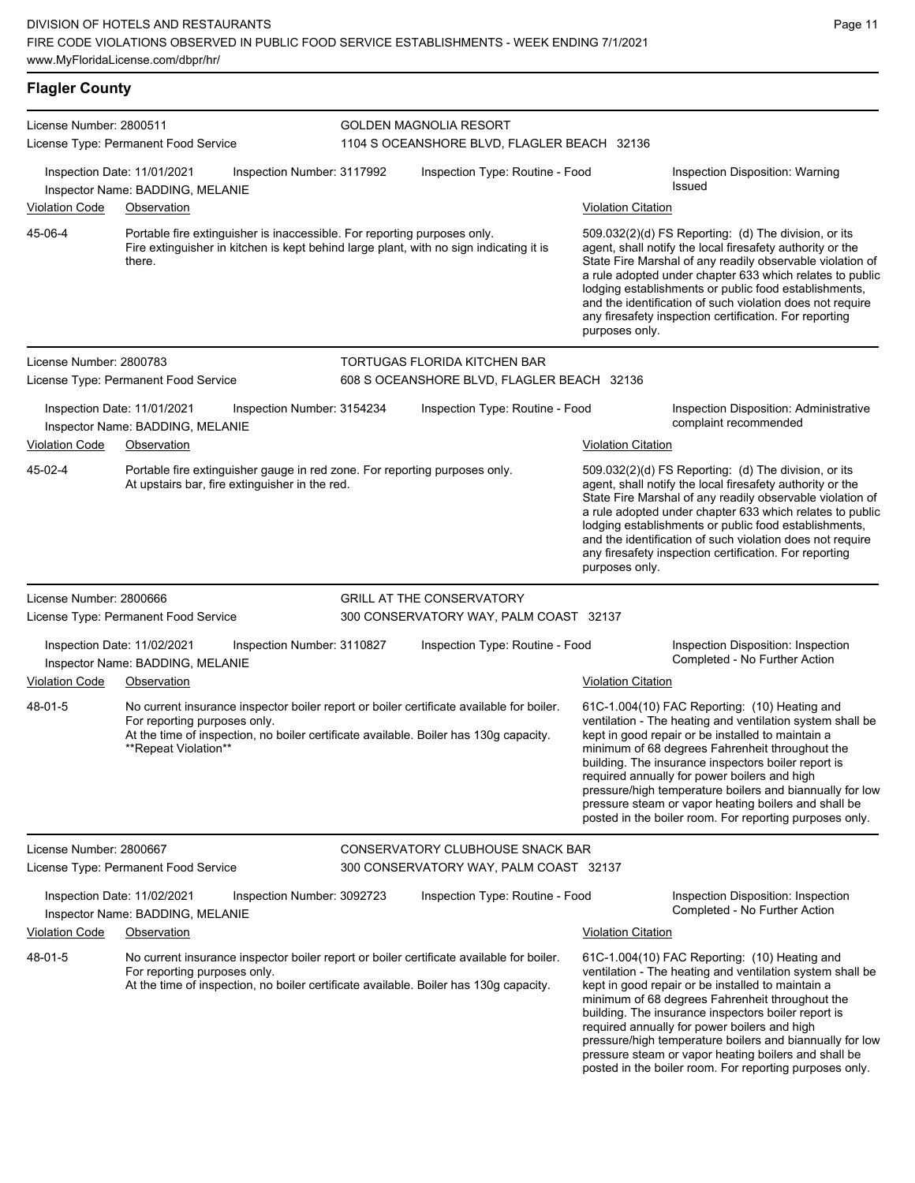| License Number: 2800511          | License Type: Permanent Food Service                                                                                                                                                                                                                     |                            | <b>GOLDEN MAGNOLIA RESORT</b><br>1104 S OCEANSHORE BLVD, FLAGLER BEACH 32136 |                           |                                                                                                                                                                                                                                                                                                                                                                                                                                                                                                          |  |  |
|----------------------------------|----------------------------------------------------------------------------------------------------------------------------------------------------------------------------------------------------------------------------------------------------------|----------------------------|------------------------------------------------------------------------------|---------------------------|----------------------------------------------------------------------------------------------------------------------------------------------------------------------------------------------------------------------------------------------------------------------------------------------------------------------------------------------------------------------------------------------------------------------------------------------------------------------------------------------------------|--|--|
| Violation Code                   | Inspection Date: 11/01/2021<br>Inspector Name: BADDING, MELANIE<br>Observation                                                                                                                                                                           | Inspection Number: 3117992 | Inspection Type: Routine - Food                                              | <b>Violation Citation</b> | Inspection Disposition: Warning<br><b>Issued</b>                                                                                                                                                                                                                                                                                                                                                                                                                                                         |  |  |
| 45-06-4                          | Portable fire extinguisher is inaccessible. For reporting purposes only.<br>Fire extinguisher in kitchen is kept behind large plant, with no sign indicating it is<br>there.                                                                             |                            |                                                                              | purposes only.            | 509.032(2)(d) FS Reporting: (d) The division, or its<br>agent, shall notify the local firesafety authority or the<br>State Fire Marshal of any readily observable violation of<br>a rule adopted under chapter 633 which relates to public<br>lodging establishments or public food establishments,<br>and the identification of such violation does not require<br>any firesafety inspection certification. For reporting                                                                               |  |  |
| License Number: 2800783          | License Type: Permanent Food Service                                                                                                                                                                                                                     |                            | TORTUGAS FLORIDA KITCHEN BAR<br>608 S OCEANSHORE BLVD, FLAGLER BEACH 32136   |                           |                                                                                                                                                                                                                                                                                                                                                                                                                                                                                                          |  |  |
| <b>Violation Code</b>            | Inspection Date: 11/01/2021<br>Inspector Name: BADDING, MELANIE<br>Observation                                                                                                                                                                           | Inspection Number: 3154234 | Inspection Type: Routine - Food                                              | <b>Violation Citation</b> | Inspection Disposition: Administrative<br>complaint recommended                                                                                                                                                                                                                                                                                                                                                                                                                                          |  |  |
| 45-02-4                          | Portable fire extinguisher gauge in red zone. For reporting purposes only.<br>At upstairs bar, fire extinguisher in the red.                                                                                                                             |                            |                                                                              | purposes only.            | 509.032(2)(d) FS Reporting: (d) The division, or its<br>agent, shall notify the local firesafety authority or the<br>State Fire Marshal of any readily observable violation of<br>a rule adopted under chapter 633 which relates to public<br>lodging establishments or public food establishments,<br>and the identification of such violation does not require<br>any firesafety inspection certification. For reporting                                                                               |  |  |
| License Number: 2800666          | License Type: Permanent Food Service                                                                                                                                                                                                                     |                            | <b>GRILL AT THE CONSERVATORY</b><br>300 CONSERVATORY WAY, PALM COAST 32137   |                           |                                                                                                                                                                                                                                                                                                                                                                                                                                                                                                          |  |  |
|                                  | Inspection Date: 11/02/2021<br>Inspector Name: BADDING, MELANIE                                                                                                                                                                                          | Inspection Number: 3110827 | Inspection Type: Routine - Food                                              |                           | Inspection Disposition: Inspection<br>Completed - No Further Action                                                                                                                                                                                                                                                                                                                                                                                                                                      |  |  |
| <b>Violation Code</b><br>48-01-5 | Observation<br>No current insurance inspector boiler report or boiler certificate available for boiler.<br>For reporting purposes only.<br>At the time of inspection, no boiler certificate available. Boiler has 130g capacity.<br>**Repeat Violation** |                            |                                                                              | <b>Violation Citation</b> | 61C-1.004(10) FAC Reporting: (10) Heating and<br>ventilation - The heating and ventilation system shall be<br>kept in good repair or be installed to maintain a<br>minimum of 68 degrees Fahrenheit throughout the<br>building. The insurance inspectors boiler report is<br>required annually for power boilers and high<br>pressure/high temperature boilers and biannually for low<br>pressure steam or vapor heating boilers and shall be<br>posted in the boiler room. For reporting purposes only. |  |  |
| License Number: 2800667          | License Type: Permanent Food Service                                                                                                                                                                                                                     |                            | CONSERVATORY CLUBHOUSE SNACK BAR<br>300 CONSERVATORY WAY, PALM COAST 32137   |                           |                                                                                                                                                                                                                                                                                                                                                                                                                                                                                                          |  |  |
| Violation Code                   | Inspection Date: 11/02/2021<br>Inspector Name: BADDING, MELANIE<br>Observation                                                                                                                                                                           | Inspection Number: 3092723 | Inspection Type: Routine - Food                                              | <b>Violation Citation</b> | Inspection Disposition: Inspection<br>Completed - No Further Action                                                                                                                                                                                                                                                                                                                                                                                                                                      |  |  |
| 48-01-5                          | No current insurance inspector boiler report or boiler certificate available for boiler.<br>For reporting purposes only.<br>At the time of inspection, no boiler certificate available. Boiler has 130g capacity.                                        |                            |                                                                              |                           | 61C-1.004(10) FAC Reporting: (10) Heating and<br>ventilation - The heating and ventilation system shall be<br>kept in good repair or be installed to maintain a<br>minimum of 68 degrees Fahrenheit throughout the<br>building. The insurance inspectors boiler report is<br>required annually for power boilers and high<br>pressure/high temperature boilers and biannually for low<br>pressure steam or vapor heating boilers and shall be<br>posted in the boiler room. For reporting purposes only. |  |  |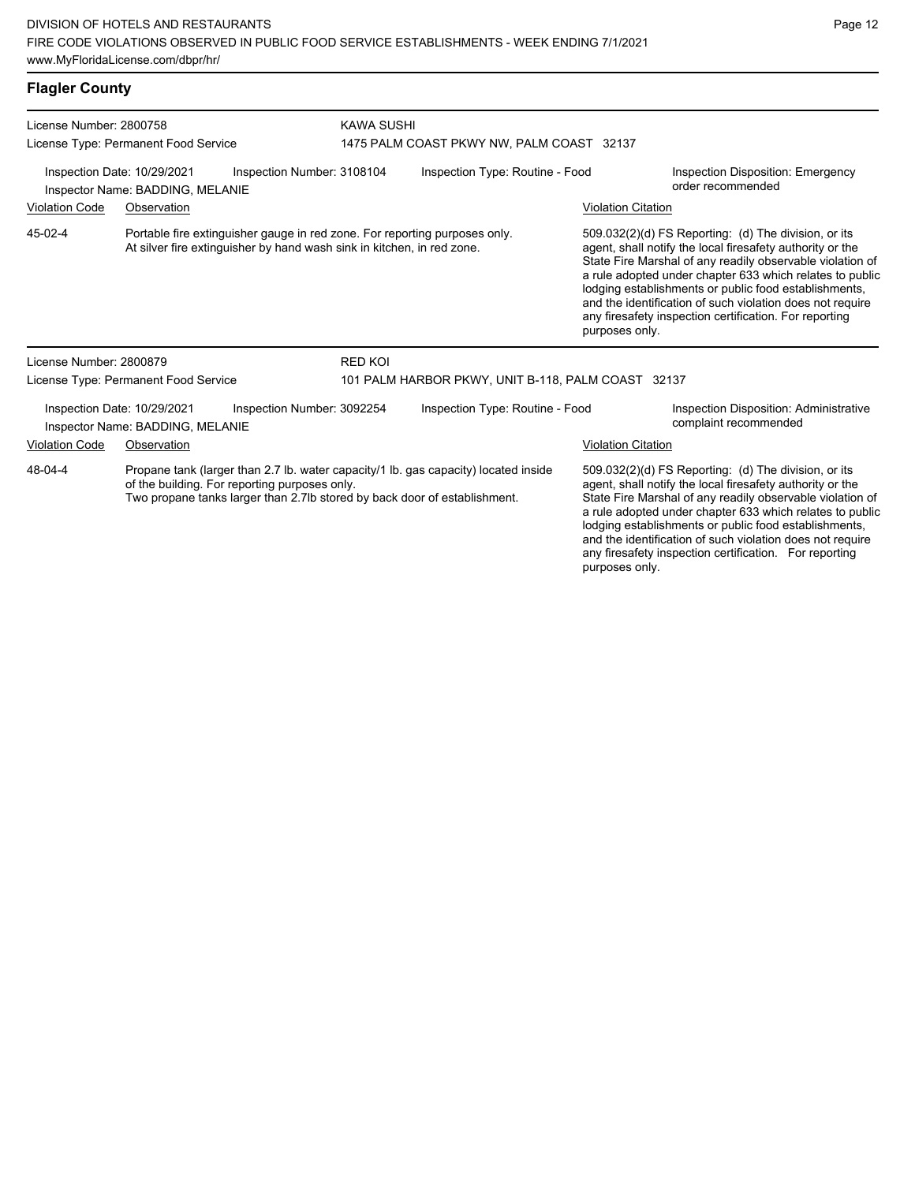| <b>Flagler County</b> |  |  |
|-----------------------|--|--|
|                       |  |  |

| License Number: 2800758                                                                                                               |                                                                 |                                                                                     | <b>KAWA SUSHI</b>                                                                                                                                    |                                                                                                                                                                                                                                                                                                                                                                  |                                                                                                                                                                                                                                                                                                                                                                                                                                              |                                                                 |  |  |
|---------------------------------------------------------------------------------------------------------------------------------------|-----------------------------------------------------------------|-------------------------------------------------------------------------------------|------------------------------------------------------------------------------------------------------------------------------------------------------|------------------------------------------------------------------------------------------------------------------------------------------------------------------------------------------------------------------------------------------------------------------------------------------------------------------------------------------------------------------|----------------------------------------------------------------------------------------------------------------------------------------------------------------------------------------------------------------------------------------------------------------------------------------------------------------------------------------------------------------------------------------------------------------------------------------------|-----------------------------------------------------------------|--|--|
|                                                                                                                                       | License Type: Permanent Food Service                            |                                                                                     | 1475 PALM COAST PKWY NW, PALM COAST 32137                                                                                                            |                                                                                                                                                                                                                                                                                                                                                                  |                                                                                                                                                                                                                                                                                                                                                                                                                                              |                                                                 |  |  |
| Inspection Date: 10/29/2021<br>Inspection Number: 3108104<br>Inspector Name: BADDING, MELANIE                                         |                                                                 |                                                                                     | Inspection Type: Routine - Food                                                                                                                      |                                                                                                                                                                                                                                                                                                                                                                  | <b>Inspection Disposition: Emergency</b><br>order recommended                                                                                                                                                                                                                                                                                                                                                                                |                                                                 |  |  |
| <b>Violation Code</b><br>Observation                                                                                                  |                                                                 |                                                                                     |                                                                                                                                                      |                                                                                                                                                                                                                                                                                                                                                                  | <b>Violation Citation</b>                                                                                                                                                                                                                                                                                                                                                                                                                    |                                                                 |  |  |
|                                                                                                                                       |                                                                 |                                                                                     |                                                                                                                                                      |                                                                                                                                                                                                                                                                                                                                                                  |                                                                                                                                                                                                                                                                                                                                                                                                                                              |                                                                 |  |  |
| 45-02-4                                                                                                                               |                                                                 |                                                                                     | Portable fire extinguisher gauge in red zone. For reporting purposes only.<br>At silver fire extinguisher by hand wash sink in kitchen, in red zone. |                                                                                                                                                                                                                                                                                                                                                                  | 509.032(2)(d) FS Reporting: (d) The division, or its<br>agent, shall notify the local firesafety authority or the<br>State Fire Marshal of any readily observable violation of<br>a rule adopted under chapter 633 which relates to public<br>lodging establishments or public food establishments,<br>and the identification of such violation does not require<br>any firesafety inspection certification. For reporting<br>purposes only. |                                                                 |  |  |
| License Number: 2800879                                                                                                               |                                                                 |                                                                                     | <b>RED KOI</b>                                                                                                                                       |                                                                                                                                                                                                                                                                                                                                                                  |                                                                                                                                                                                                                                                                                                                                                                                                                                              |                                                                 |  |  |
|                                                                                                                                       | License Type: Permanent Food Service                            |                                                                                     |                                                                                                                                                      | 101 PALM HARBOR PKWY, UNIT B-118, PALM COAST 32137                                                                                                                                                                                                                                                                                                               |                                                                                                                                                                                                                                                                                                                                                                                                                                              |                                                                 |  |  |
|                                                                                                                                       | Inspection Date: 10/29/2021<br>Inspector Name: BADDING, MELANIE | Inspection Number: 3092254                                                          |                                                                                                                                                      | Inspection Type: Routine - Food                                                                                                                                                                                                                                                                                                                                  |                                                                                                                                                                                                                                                                                                                                                                                                                                              | Inspection Disposition: Administrative<br>complaint recommended |  |  |
| <b>Violation Code</b>                                                                                                                 | Observation                                                     |                                                                                     |                                                                                                                                                      |                                                                                                                                                                                                                                                                                                                                                                  | <b>Violation Citation</b>                                                                                                                                                                                                                                                                                                                                                                                                                    |                                                                 |  |  |
| 48-04-4<br>of the building. For reporting purposes only.<br>Two propane tanks larger than 2.7lb stored by back door of establishment. |                                                                 | Propane tank (larger than 2.7 lb. water capacity/1 lb. gas capacity) located inside |                                                                                                                                                      | 509.032(2)(d) FS Reporting: (d) The division, or its<br>agent, shall notify the local firesafety authority or the<br>State Fire Marshal of any readily observable violation of<br>a rule adopted under chapter 633 which relates to public<br>lodging establishments or public food establishments,<br>and the identification of such violation does not require |                                                                                                                                                                                                                                                                                                                                                                                                                                              |                                                                 |  |  |

any firesafety inspection certification. For reporting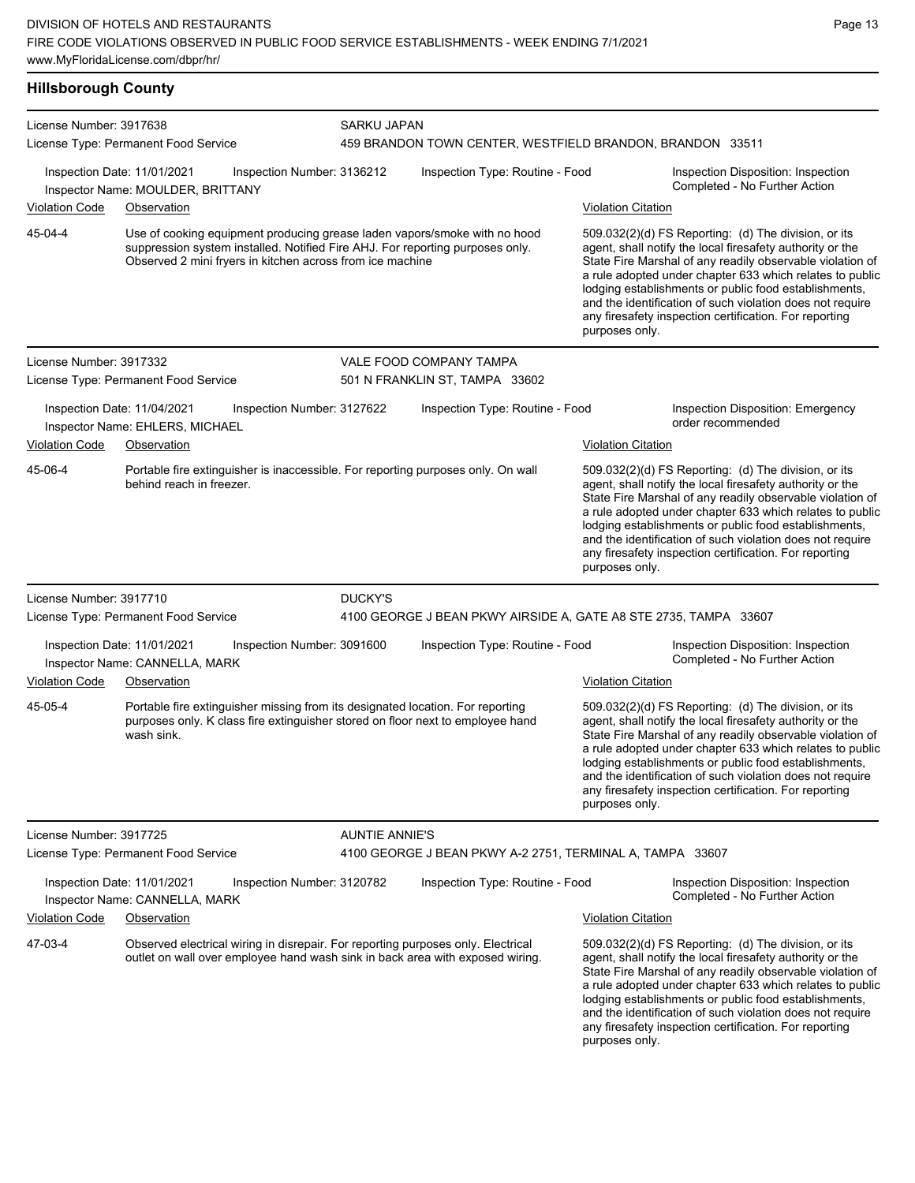| License Number: 3917638 |                                                                  |                            | SARKU JAPAN           |                                                                                                                                                                   |                           |                                                                                                                                                                                                                                                                                                                                                                                                                            |  |  |
|-------------------------|------------------------------------------------------------------|----------------------------|-----------------------|-------------------------------------------------------------------------------------------------------------------------------------------------------------------|---------------------------|----------------------------------------------------------------------------------------------------------------------------------------------------------------------------------------------------------------------------------------------------------------------------------------------------------------------------------------------------------------------------------------------------------------------------|--|--|
|                         | License Type: Permanent Food Service                             |                            |                       | 459 BRANDON TOWN CENTER, WESTFIELD BRANDON, BRANDON 33511                                                                                                         |                           |                                                                                                                                                                                                                                                                                                                                                                                                                            |  |  |
|                         | Inspection Date: 11/01/2021<br>Inspector Name: MOULDER, BRITTANY | Inspection Number: 3136212 |                       | Inspection Type: Routine - Food                                                                                                                                   |                           | Inspection Disposition: Inspection<br>Completed - No Further Action                                                                                                                                                                                                                                                                                                                                                        |  |  |
| Violation Code          | Observation                                                      |                            |                       |                                                                                                                                                                   | <b>Violation Citation</b> |                                                                                                                                                                                                                                                                                                                                                                                                                            |  |  |
| 45-04-4                 | Observed 2 mini fryers in kitchen across from ice machine        |                            |                       | Use of cooking equipment producing grease laden vapors/smoke with no hood<br>suppression system installed. Notified Fire AHJ. For reporting purposes only.        | purposes only.            | 509.032(2)(d) FS Reporting: (d) The division, or its<br>agent, shall notify the local firesafety authority or the<br>State Fire Marshal of any readily observable violation of<br>a rule adopted under chapter 633 which relates to public<br>lodging establishments or public food establishments,<br>and the identification of such violation does not require<br>any firesafety inspection certification. For reporting |  |  |
| License Number: 3917332 |                                                                  |                            |                       | VALE FOOD COMPANY TAMPA                                                                                                                                           |                           |                                                                                                                                                                                                                                                                                                                                                                                                                            |  |  |
|                         | License Type: Permanent Food Service                             |                            |                       | 501 N FRANKLIN ST, TAMPA 33602                                                                                                                                    |                           |                                                                                                                                                                                                                                                                                                                                                                                                                            |  |  |
|                         | Inspection Date: 11/04/2021<br>Inspector Name: EHLERS, MICHAEL   | Inspection Number: 3127622 |                       | Inspection Type: Routine - Food                                                                                                                                   |                           | Inspection Disposition: Emergency<br>order recommended                                                                                                                                                                                                                                                                                                                                                                     |  |  |
| <b>Violation Code</b>   | Observation                                                      |                            |                       |                                                                                                                                                                   | <b>Violation Citation</b> |                                                                                                                                                                                                                                                                                                                                                                                                                            |  |  |
| 45-06-4                 | behind reach in freezer.                                         |                            |                       | Portable fire extinguisher is inaccessible. For reporting purposes only. On wall                                                                                  | purposes only.            | 509.032(2)(d) FS Reporting: (d) The division, or its<br>agent, shall notify the local firesafety authority or the<br>State Fire Marshal of any readily observable violation of<br>a rule adopted under chapter 633 which relates to public<br>lodging establishments or public food establishments,<br>and the identification of such violation does not require<br>any firesafety inspection certification. For reporting |  |  |
| License Number: 3917710 |                                                                  |                            | DUCKY'S               |                                                                                                                                                                   |                           |                                                                                                                                                                                                                                                                                                                                                                                                                            |  |  |
|                         | License Type: Permanent Food Service                             |                            |                       | 4100 GEORGE J BEAN PKWY AIRSIDE A, GATE A8 STE 2735, TAMPA 33607                                                                                                  |                           |                                                                                                                                                                                                                                                                                                                                                                                                                            |  |  |
|                         | Inspection Date: 11/01/2021<br>Inspector Name: CANNELLA, MARK    | Inspection Number: 3091600 |                       | Inspection Type: Routine - Food                                                                                                                                   |                           | Inspection Disposition: Inspection<br>Completed - No Further Action                                                                                                                                                                                                                                                                                                                                                        |  |  |
| <b>Violation Code</b>   | Observation                                                      |                            |                       |                                                                                                                                                                   | <b>Violation Citation</b> |                                                                                                                                                                                                                                                                                                                                                                                                                            |  |  |
| 45-05-4                 | wash sink.                                                       |                            |                       | Portable fire extinguisher missing from its designated location. For reporting<br>purposes only. K class fire extinguisher stored on floor next to employee hand  | purposes only.            | 509.032(2)(d) FS Reporting: (d) The division, or its<br>agent, shall notify the local firesafety authority or the<br>State Fire Marshal of any readily observable violation of<br>a rule adopted under chapter 633 which relates to public<br>lodging establishments or public food establishments,<br>and the identification of such violation does not require<br>any firesafety inspection certification. For reporting |  |  |
| License Number: 3917725 |                                                                  |                            | <b>AUNTIE ANNIE'S</b> |                                                                                                                                                                   |                           |                                                                                                                                                                                                                                                                                                                                                                                                                            |  |  |
|                         | License Type: Permanent Food Service                             |                            |                       | 4100 GEORGE J BEAN PKWY A-2 2751, TERMINAL A, TAMPA 33607                                                                                                         |                           |                                                                                                                                                                                                                                                                                                                                                                                                                            |  |  |
|                         | Inspection Date: 11/01/2021<br>Inspector Name: CANNELLA, MARK    | Inspection Number: 3120782 |                       | Inspection Type: Routine - Food                                                                                                                                   |                           | Inspection Disposition: Inspection<br>Completed - No Further Action                                                                                                                                                                                                                                                                                                                                                        |  |  |
| Violation Code          | Observation                                                      |                            |                       |                                                                                                                                                                   | <b>Violation Citation</b> |                                                                                                                                                                                                                                                                                                                                                                                                                            |  |  |
| 47-03-4                 |                                                                  |                            |                       | Observed electrical wiring in disrepair. For reporting purposes only. Electrical<br>outlet on wall over employee hand wash sink in back area with exposed wiring. | purposes only.            | 509.032(2)(d) FS Reporting: (d) The division, or its<br>agent, shall notify the local firesafety authority or the<br>State Fire Marshal of any readily observable violation of<br>a rule adopted under chapter 633 which relates to public<br>lodging establishments or public food establishments,<br>and the identification of such violation does not require<br>any firesafety inspection certification. For reporting |  |  |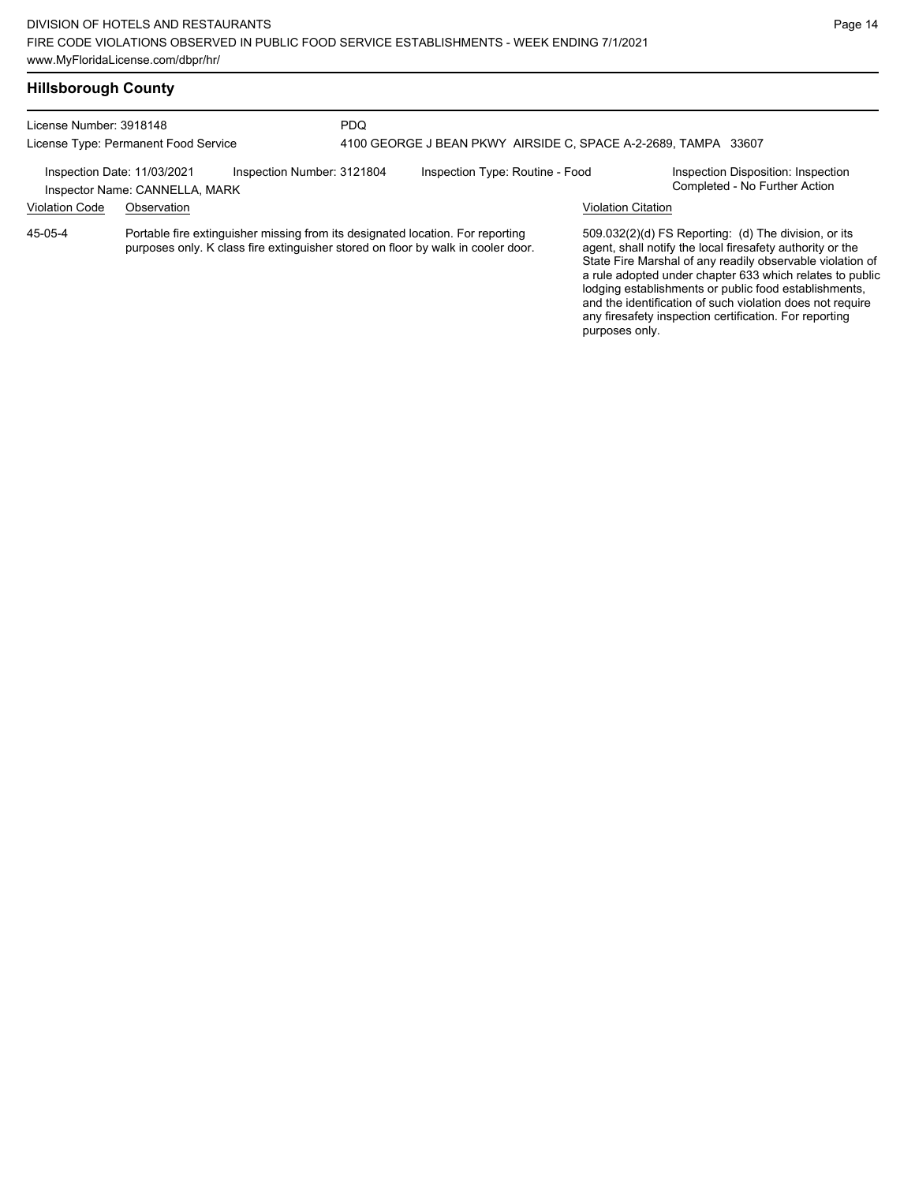| <b>Hillsborough County</b> |  |
|----------------------------|--|
|----------------------------|--|

| License Number: 3918148<br>License Type: Permanent Food Service                             |             | <b>PDQ</b><br>4100 GEORGE J BEAN PKWY AIRSIDE C, SPACE A-2-2689, TAMPA 33607                                                                                       |                                 |  |  |                           |                                                                                                                                                                                                                                                                                                                                                                                                                            |
|---------------------------------------------------------------------------------------------|-------------|--------------------------------------------------------------------------------------------------------------------------------------------------------------------|---------------------------------|--|--|---------------------------|----------------------------------------------------------------------------------------------------------------------------------------------------------------------------------------------------------------------------------------------------------------------------------------------------------------------------------------------------------------------------------------------------------------------------|
| Inspection Number: 3121804<br>Inspection Date: 11/03/2021<br>Inspector Name: CANNELLA, MARK |             |                                                                                                                                                                    | Inspection Type: Routine - Food |  |  |                           | Inspection Disposition: Inspection<br>Completed - No Further Action                                                                                                                                                                                                                                                                                                                                                        |
| <b>Violation Code</b>                                                                       | Observation |                                                                                                                                                                    |                                 |  |  | <b>Violation Citation</b> |                                                                                                                                                                                                                                                                                                                                                                                                                            |
| 45-05-4                                                                                     |             | Portable fire extinguisher missing from its designated location. For reporting<br>purposes only. K class fire extinguisher stored on floor by walk in cooler door. |                                 |  |  | purposes only.            | 509.032(2)(d) FS Reporting: (d) The division, or its<br>agent, shall notify the local firesafety authority or the<br>State Fire Marshal of any readily observable violation of<br>a rule adopted under chapter 633 which relates to public<br>lodging establishments or public food establishments,<br>and the identification of such violation does not require<br>any firesafety inspection certification. For reporting |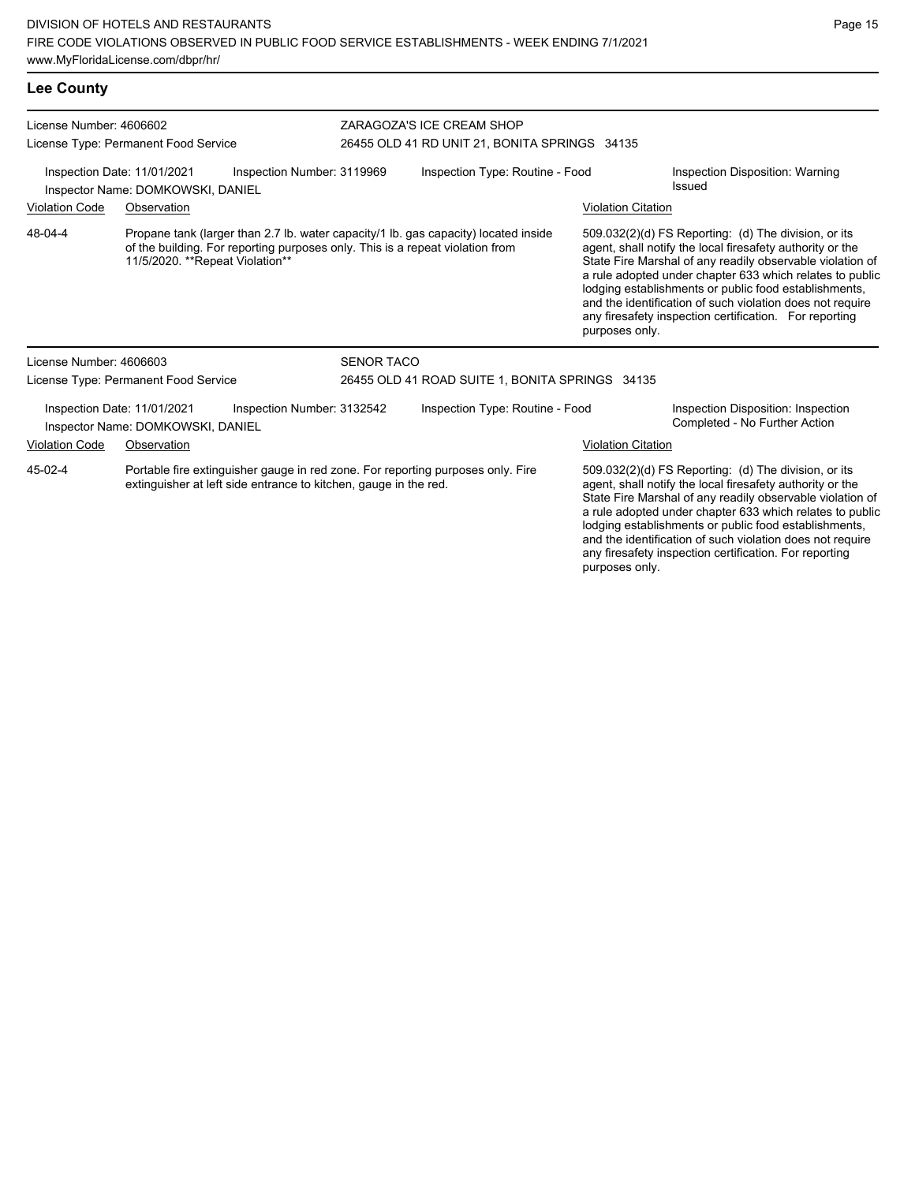| License Number: 4606602<br>License Type: Permanent Food Service<br>Inspection Date: 11/01/2021<br>Inspection Number: 3119969<br>Inspector Name: DOMKOWSKI, DANIEL |                                                                                                                                                                                                         |                            | ZARAGOZA'S ICE CREAM SHOP<br>26455 OLD 41 RD UNIT 21, BONITA SPRINGS 34135 |                                 |                                                                                                                                                                                                                                                                                                                                                                                                                                              |                                                                     |  |
|-------------------------------------------------------------------------------------------------------------------------------------------------------------------|---------------------------------------------------------------------------------------------------------------------------------------------------------------------------------------------------------|----------------------------|----------------------------------------------------------------------------|---------------------------------|----------------------------------------------------------------------------------------------------------------------------------------------------------------------------------------------------------------------------------------------------------------------------------------------------------------------------------------------------------------------------------------------------------------------------------------------|---------------------------------------------------------------------|--|
|                                                                                                                                                                   |                                                                                                                                                                                                         |                            | Inspection Type: Routine - Food                                            |                                 |                                                                                                                                                                                                                                                                                                                                                                                                                                              | Inspection Disposition: Warning<br>Issued                           |  |
| <b>Violation Code</b>                                                                                                                                             | Observation                                                                                                                                                                                             |                            |                                                                            |                                 | <b>Violation Citation</b>                                                                                                                                                                                                                                                                                                                                                                                                                    |                                                                     |  |
| 48-04-4                                                                                                                                                           | Propane tank (larger than 2.7 lb. water capacity/1 lb. gas capacity) located inside<br>of the building. For reporting purposes only. This is a repeat violation from<br>11/5/2020. **Repeat Violation** |                            |                                                                            |                                 | 509.032(2)(d) FS Reporting: (d) The division, or its<br>agent, shall notify the local firesafety authority or the<br>State Fire Marshal of any readily observable violation of<br>a rule adopted under chapter 633 which relates to public<br>lodging establishments or public food establishments,<br>and the identification of such violation does not require<br>any firesafety inspection certification. For reporting<br>purposes only. |                                                                     |  |
| License Number: 4606603                                                                                                                                           |                                                                                                                                                                                                         |                            | <b>SENOR TACO</b>                                                          |                                 |                                                                                                                                                                                                                                                                                                                                                                                                                                              |                                                                     |  |
|                                                                                                                                                                   | License Type: Permanent Food Service                                                                                                                                                                    |                            | 26455 OLD 41 ROAD SUITE 1, BONITA SPRINGS 34135                            |                                 |                                                                                                                                                                                                                                                                                                                                                                                                                                              |                                                                     |  |
|                                                                                                                                                                   | Inspection Date: 11/01/2021<br>Inspector Name: DOMKOWSKI, DANIEL                                                                                                                                        | Inspection Number: 3132542 |                                                                            | Inspection Type: Routine - Food |                                                                                                                                                                                                                                                                                                                                                                                                                                              | Inspection Disposition: Inspection<br>Completed - No Further Action |  |
| Violation Code                                                                                                                                                    | Observation                                                                                                                                                                                             |                            |                                                                            |                                 | <b>Violation Citation</b>                                                                                                                                                                                                                                                                                                                                                                                                                    |                                                                     |  |
| 45-02-4<br>Portable fire extinguisher gauge in red zone. For reporting purposes only. Fire<br>extinguisher at left side entrance to kitchen, gauge in the red.    |                                                                                                                                                                                                         |                            |                                                                            |                                 | 509.032(2)(d) FS Reporting: (d) The division, or its<br>agent, shall notify the local firesafety authority or the<br>State Fire Marshal of any readily observable violation of<br>a rule adopted under chapter 633 which relates to public<br>lodging establishments or public food establishments,                                                                                                                                          |                                                                     |  |

and the identification of such violation does not require any firesafety inspection certification. For reporting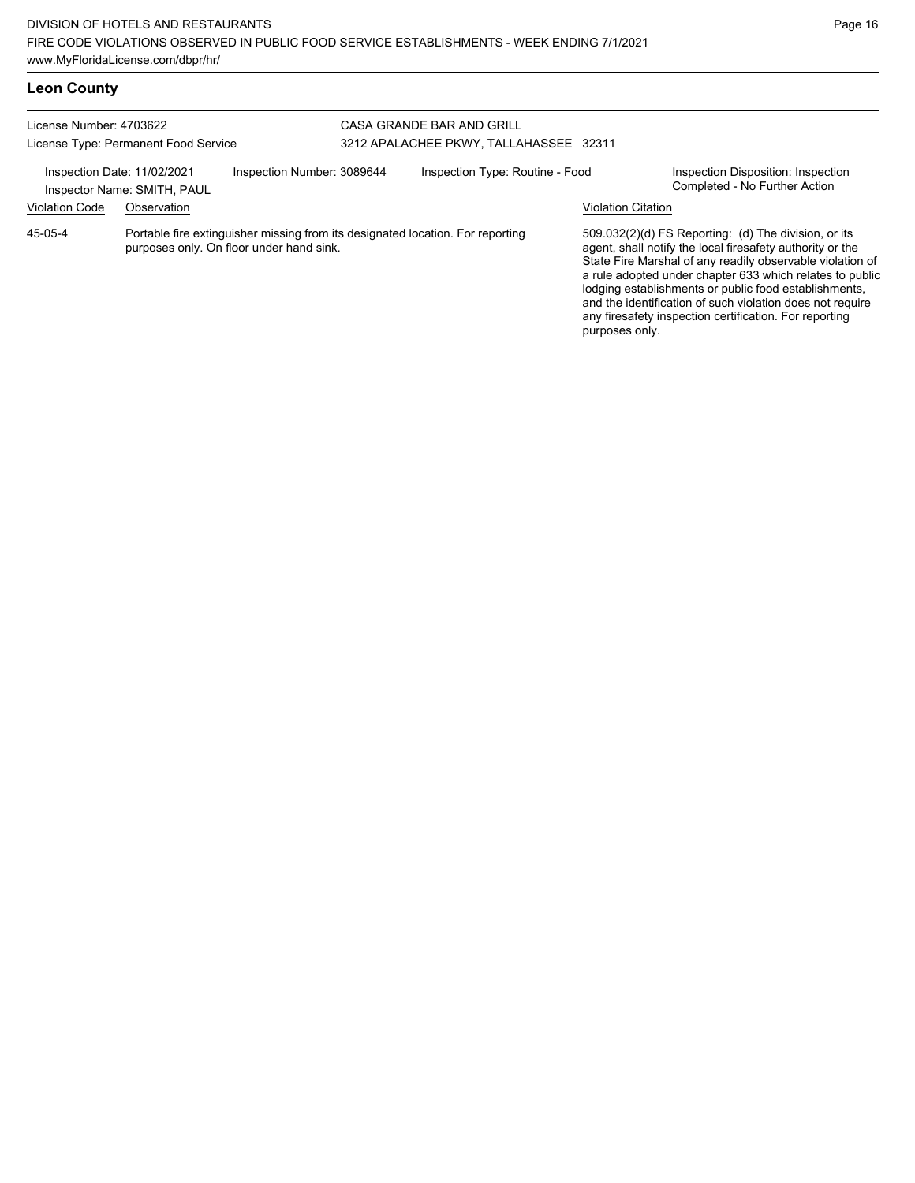|  | <b>Leon County</b> |
|--|--------------------|
|--|--------------------|

| License Number: 4703622     | License Type: Permanent Food Service                                                                                       |                            | CASA GRANDE BAR AND GRILL<br>3212 APALACHEE PKWY, TALLAHASSEE 32311 |                                                                                                                                                                                                                                                                                                                                                                                                                                              |  |
|-----------------------------|----------------------------------------------------------------------------------------------------------------------------|----------------------------|---------------------------------------------------------------------|----------------------------------------------------------------------------------------------------------------------------------------------------------------------------------------------------------------------------------------------------------------------------------------------------------------------------------------------------------------------------------------------------------------------------------------------|--|
| Inspection Date: 11/02/2021 | Inspector Name: SMITH, PAUL                                                                                                | Inspection Number: 3089644 | Inspection Type: Routine - Food                                     | Inspection Disposition: Inspection<br>Completed - No Further Action                                                                                                                                                                                                                                                                                                                                                                          |  |
| <b>Violation Code</b>       | Observation                                                                                                                |                            |                                                                     | <b>Violation Citation</b>                                                                                                                                                                                                                                                                                                                                                                                                                    |  |
| 45-05-4                     | Portable fire extinguisher missing from its designated location. For reporting<br>purposes only. On floor under hand sink. |                            |                                                                     | 509.032(2)(d) FS Reporting: (d) The division, or its<br>agent, shall notify the local firesafety authority or the<br>State Fire Marshal of any readily observable violation of<br>a rule adopted under chapter 633 which relates to public<br>lodging establishments or public food establishments,<br>and the identification of such violation does not require<br>any firesafety inspection certification. For reporting<br>purposes only. |  |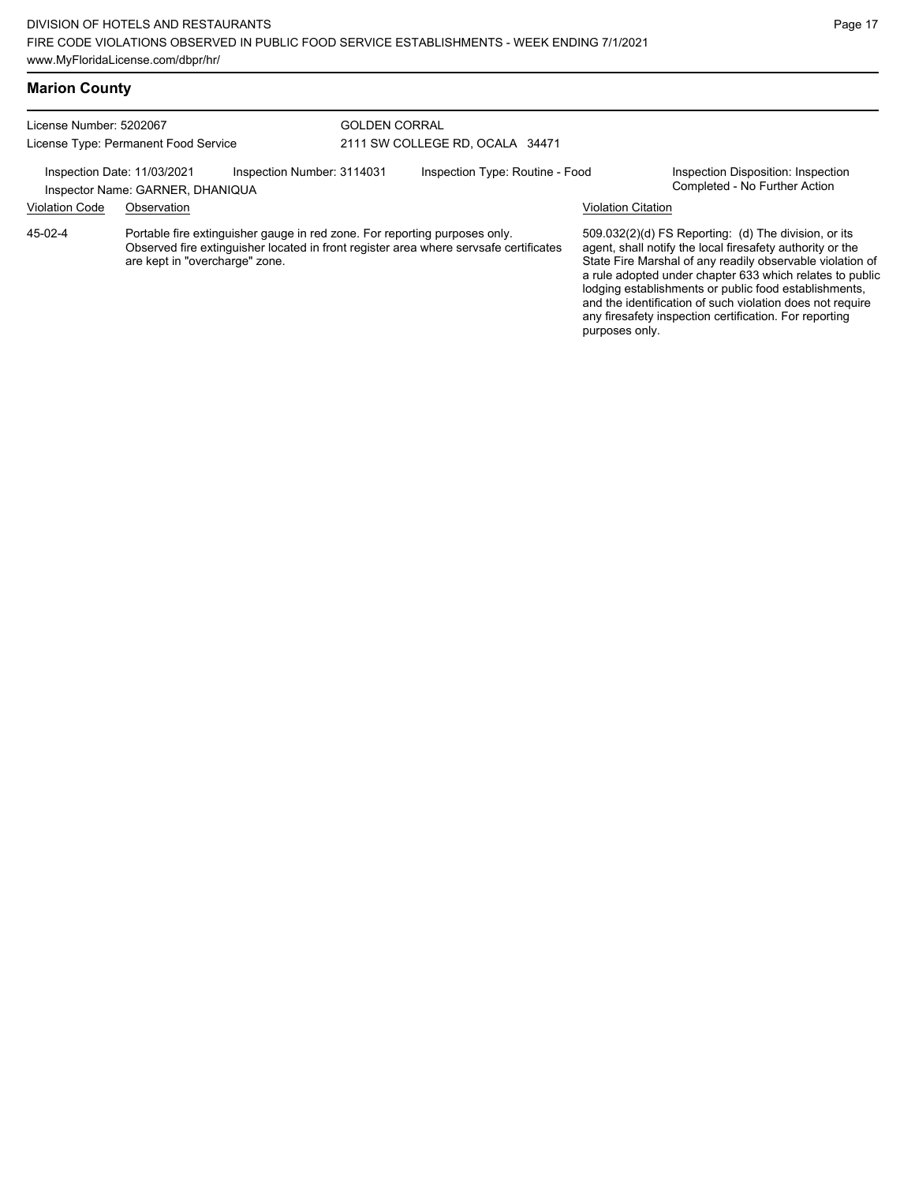| License Number: 5202067<br>License Type: Permanent Food Service                                                                                                                                                    |             |  |                                 | <b>GOLDEN CORRAL</b>            |                                                                                                                                                                                                                                                                                                                                                                                                                            |                                                                     |  |  |
|--------------------------------------------------------------------------------------------------------------------------------------------------------------------------------------------------------------------|-------------|--|---------------------------------|---------------------------------|----------------------------------------------------------------------------------------------------------------------------------------------------------------------------------------------------------------------------------------------------------------------------------------------------------------------------------------------------------------------------------------------------------------------------|---------------------------------------------------------------------|--|--|
|                                                                                                                                                                                                                    |             |  | 2111 SW COLLEGE RD. OCALA 34471 |                                 |                                                                                                                                                                                                                                                                                                                                                                                                                            |                                                                     |  |  |
| Inspection Number: 3114031<br>Inspection Date: 11/03/2021<br>Inspector Name: GARNER, DHANIQUA                                                                                                                      |             |  |                                 | Inspection Type: Routine - Food |                                                                                                                                                                                                                                                                                                                                                                                                                            | Inspection Disposition: Inspection<br>Completed - No Further Action |  |  |
| <b>Violation Code</b>                                                                                                                                                                                              | Observation |  |                                 |                                 | <b>Violation Citation</b>                                                                                                                                                                                                                                                                                                                                                                                                  |                                                                     |  |  |
| $45-02-4$<br>Portable fire extinguisher gauge in red zone. For reporting purposes only.<br>Observed fire extinguisher located in front register area where servsafe certificates<br>are kept in "overcharge" zone. |             |  |                                 | purposes only.                  | 509.032(2)(d) FS Reporting: (d) The division, or its<br>agent, shall notify the local firesafety authority or the<br>State Fire Marshal of any readily observable violation of<br>a rule adopted under chapter 633 which relates to public<br>lodging establishments or public food establishments,<br>and the identification of such violation does not require<br>any firesafety inspection certification. For reporting |                                                                     |  |  |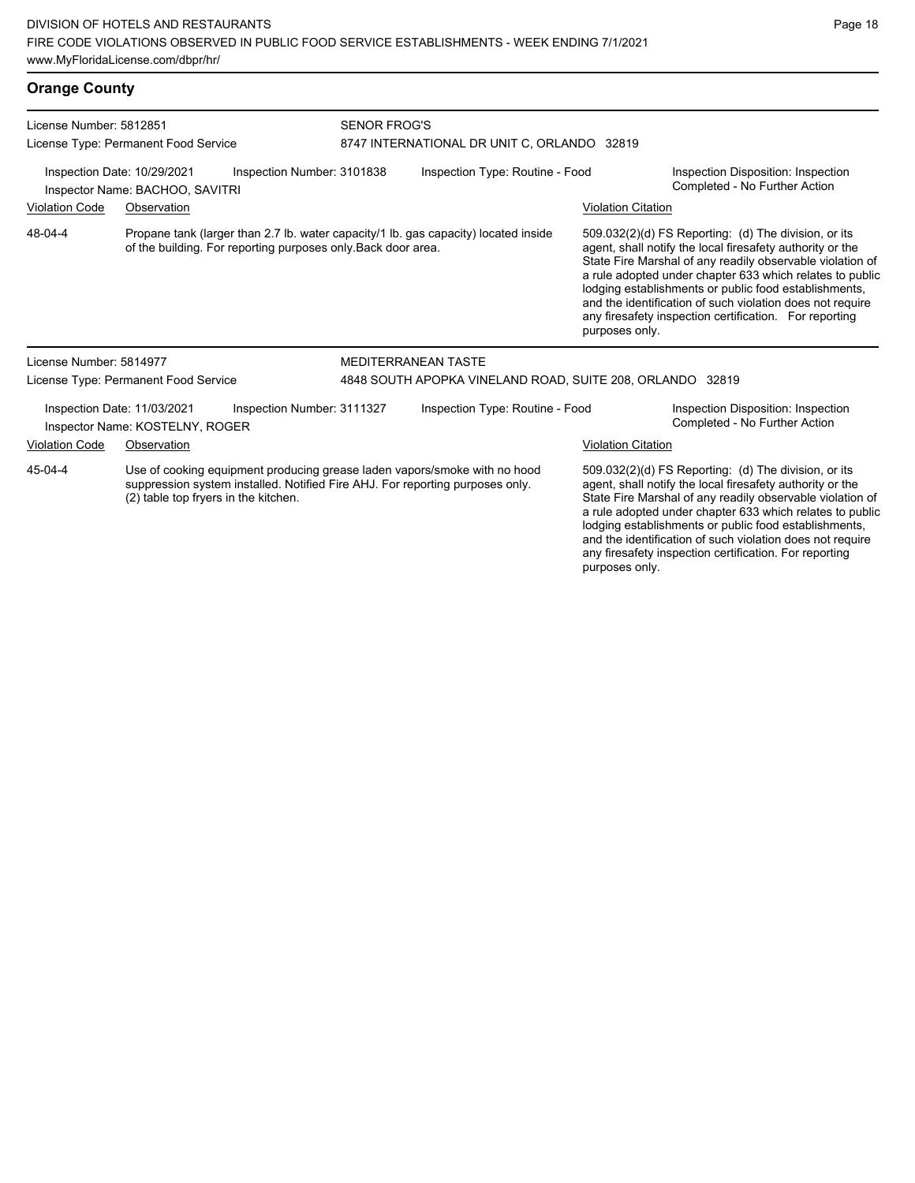| License Number: 5812851                                                                                                                                                                                       | License Type: Permanent Food Service                           |                                                                                                                                                     | <b>SENOR FROG'S</b><br>8747 INTERNATIONAL DR UNIT C, ORLANDO 32819 |                                                                                                                                                                                                                                                                                                     |                                                                                                                                                                                                                                                                                                                                                                                                                            |  |  |
|---------------------------------------------------------------------------------------------------------------------------------------------------------------------------------------------------------------|----------------------------------------------------------------|-----------------------------------------------------------------------------------------------------------------------------------------------------|--------------------------------------------------------------------|-----------------------------------------------------------------------------------------------------------------------------------------------------------------------------------------------------------------------------------------------------------------------------------------------------|----------------------------------------------------------------------------------------------------------------------------------------------------------------------------------------------------------------------------------------------------------------------------------------------------------------------------------------------------------------------------------------------------------------------------|--|--|
|                                                                                                                                                                                                               | Inspection Date: 10/29/2021<br>Inspector Name: BACHOO, SAVITRI | Inspection Number: 3101838                                                                                                                          | Inspection Type: Routine - Food                                    |                                                                                                                                                                                                                                                                                                     | Inspection Disposition: Inspection<br>Completed - No Further Action                                                                                                                                                                                                                                                                                                                                                        |  |  |
| <b>Violation Code</b>                                                                                                                                                                                         | Observation                                                    |                                                                                                                                                     |                                                                    | <b>Violation Citation</b>                                                                                                                                                                                                                                                                           |                                                                                                                                                                                                                                                                                                                                                                                                                            |  |  |
| 48-04-4                                                                                                                                                                                                       |                                                                | Propane tank (larger than 2.7 lb. water capacity/1 lb. gas capacity) located inside<br>of the building. For reporting purposes only Back door area. |                                                                    | purposes only.                                                                                                                                                                                                                                                                                      | 509.032(2)(d) FS Reporting: (d) The division, or its<br>agent, shall notify the local firesafety authority or the<br>State Fire Marshal of any readily observable violation of<br>a rule adopted under chapter 633 which relates to public<br>lodging establishments or public food establishments,<br>and the identification of such violation does not require<br>any firesafety inspection certification. For reporting |  |  |
| License Number: 5814977                                                                                                                                                                                       |                                                                |                                                                                                                                                     | <b>MEDITERRANEAN TASTE</b>                                         |                                                                                                                                                                                                                                                                                                     |                                                                                                                                                                                                                                                                                                                                                                                                                            |  |  |
|                                                                                                                                                                                                               | License Type: Permanent Food Service                           |                                                                                                                                                     | 4848 SOUTH APOPKA VINELAND ROAD, SUITE 208, ORLANDO 32819          |                                                                                                                                                                                                                                                                                                     |                                                                                                                                                                                                                                                                                                                                                                                                                            |  |  |
|                                                                                                                                                                                                               | Inspection Date: 11/03/2021<br>Inspector Name: KOSTELNY, ROGER | Inspection Number: 3111327                                                                                                                          | Inspection Type: Routine - Food                                    |                                                                                                                                                                                                                                                                                                     | Inspection Disposition: Inspection<br>Completed - No Further Action                                                                                                                                                                                                                                                                                                                                                        |  |  |
| <b>Violation Code</b>                                                                                                                                                                                         | Observation                                                    |                                                                                                                                                     |                                                                    | <b>Violation Citation</b>                                                                                                                                                                                                                                                                           |                                                                                                                                                                                                                                                                                                                                                                                                                            |  |  |
| Use of cooking equipment producing grease laden vapors/smoke with no hood<br>45-04-4<br>suppression system installed. Notified Fire AHJ. For reporting purposes only.<br>(2) table top fryers in the kitchen. |                                                                |                                                                                                                                                     |                                                                    | 509.032(2)(d) FS Reporting: (d) The division, or its<br>agent, shall notify the local firesafety authority or the<br>State Fire Marshal of any readily observable violation of<br>a rule adopted under chapter 633 which relates to public<br>lodging establishments or public food establishments. |                                                                                                                                                                                                                                                                                                                                                                                                                            |  |  |

lodging establishments or public food establishments, and the identification of such violation does not require any firesafety inspection certification. For reporting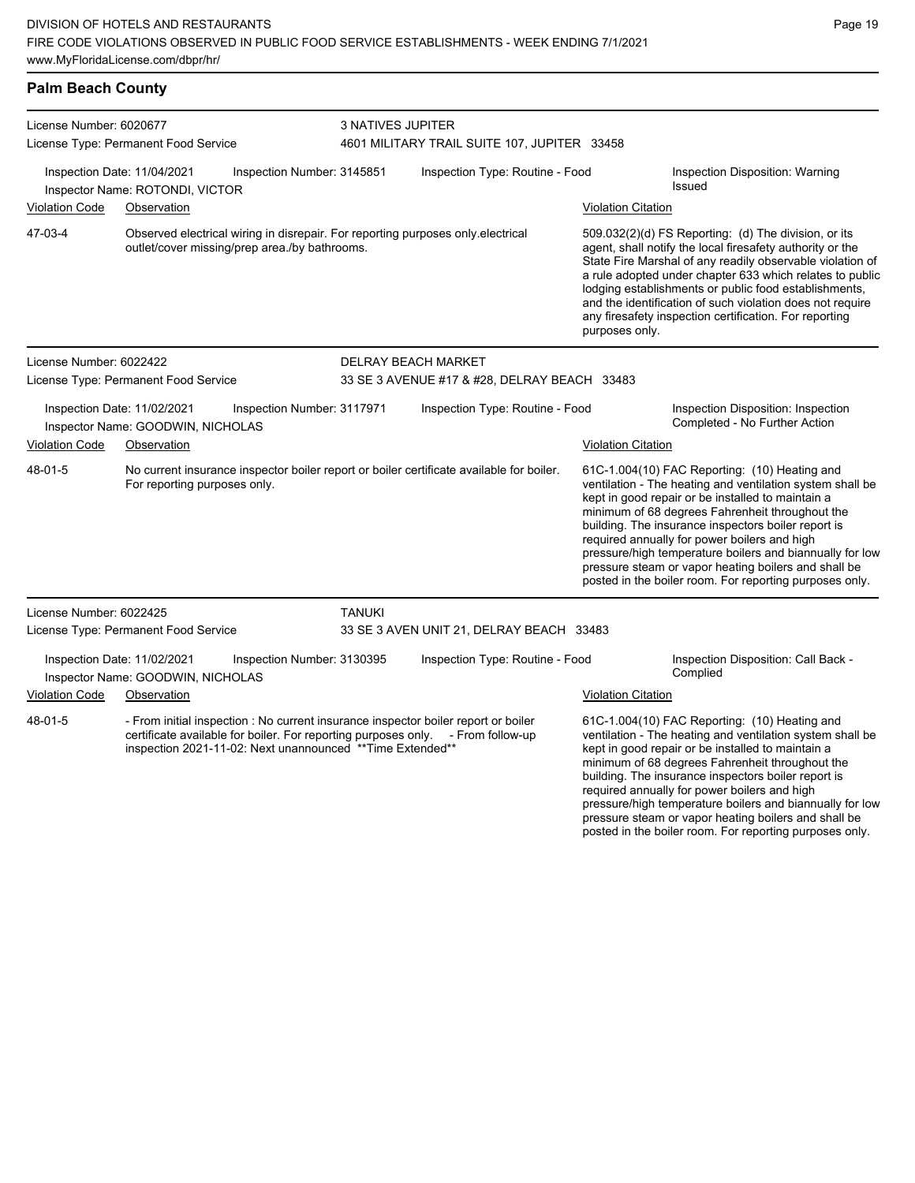| License Number: 6020677 |                                                                                                                                                                                                                                     |                            | <b>3 NATIVES JUPITER</b><br>4601 MILITARY TRAIL SUITE 107, JUPITER 33458 |                                                                                                                                                                                                                                                                                                                                                                                                                                              |                                                                                                                                                                                                                                                                                                                                                                                                                                                                                                          |  |  |
|-------------------------|-------------------------------------------------------------------------------------------------------------------------------------------------------------------------------------------------------------------------------------|----------------------------|--------------------------------------------------------------------------|----------------------------------------------------------------------------------------------------------------------------------------------------------------------------------------------------------------------------------------------------------------------------------------------------------------------------------------------------------------------------------------------------------------------------------------------|----------------------------------------------------------------------------------------------------------------------------------------------------------------------------------------------------------------------------------------------------------------------------------------------------------------------------------------------------------------------------------------------------------------------------------------------------------------------------------------------------------|--|--|
|                         | License Type: Permanent Food Service                                                                                                                                                                                                |                            |                                                                          |                                                                                                                                                                                                                                                                                                                                                                                                                                              |                                                                                                                                                                                                                                                                                                                                                                                                                                                                                                          |  |  |
|                         | Inspection Date: 11/04/2021<br>Inspector Name: ROTONDI, VICTOR                                                                                                                                                                      | Inspection Number: 3145851 | Inspection Type: Routine - Food                                          |                                                                                                                                                                                                                                                                                                                                                                                                                                              | Inspection Disposition: Warning<br>Issued                                                                                                                                                                                                                                                                                                                                                                                                                                                                |  |  |
| <b>Violation Code</b>   | Observation                                                                                                                                                                                                                         |                            |                                                                          | <b>Violation Citation</b>                                                                                                                                                                                                                                                                                                                                                                                                                    |                                                                                                                                                                                                                                                                                                                                                                                                                                                                                                          |  |  |
| 47-03-4                 | Observed electrical wiring in disrepair. For reporting purposes only electrical<br>outlet/cover missing/prep area./by bathrooms.                                                                                                    |                            |                                                                          | 509.032(2)(d) FS Reporting: (d) The division, or its<br>agent, shall notify the local firesafety authority or the<br>State Fire Marshal of any readily observable violation of<br>a rule adopted under chapter 633 which relates to public<br>lodging establishments or public food establishments,<br>and the identification of such violation does not require<br>any firesafety inspection certification. For reporting<br>purposes only. |                                                                                                                                                                                                                                                                                                                                                                                                                                                                                                          |  |  |
| License Number: 6022422 |                                                                                                                                                                                                                                     |                            | <b>DELRAY BEACH MARKET</b>                                               |                                                                                                                                                                                                                                                                                                                                                                                                                                              |                                                                                                                                                                                                                                                                                                                                                                                                                                                                                                          |  |  |
|                         | License Type: Permanent Food Service                                                                                                                                                                                                |                            | 33 SE 3 AVENUE #17 & #28, DELRAY BEACH 33483                             |                                                                                                                                                                                                                                                                                                                                                                                                                                              |                                                                                                                                                                                                                                                                                                                                                                                                                                                                                                          |  |  |
|                         | Inspection Date: 11/02/2021<br>Inspector Name: GOODWIN, NICHOLAS                                                                                                                                                                    | Inspection Number: 3117971 | Inspection Type: Routine - Food                                          |                                                                                                                                                                                                                                                                                                                                                                                                                                              | Inspection Disposition: Inspection<br>Completed - No Further Action                                                                                                                                                                                                                                                                                                                                                                                                                                      |  |  |
| <b>Violation Code</b>   | Observation                                                                                                                                                                                                                         |                            |                                                                          | <b>Violation Citation</b>                                                                                                                                                                                                                                                                                                                                                                                                                    |                                                                                                                                                                                                                                                                                                                                                                                                                                                                                                          |  |  |
| 48-01-5                 | No current insurance inspector boiler report or boiler certificate available for boiler.<br>For reporting purposes only.                                                                                                            |                            |                                                                          |                                                                                                                                                                                                                                                                                                                                                                                                                                              | 61C-1.004(10) FAC Reporting: (10) Heating and<br>ventilation - The heating and ventilation system shall be<br>kept in good repair or be installed to maintain a<br>minimum of 68 degrees Fahrenheit throughout the<br>building. The insurance inspectors boiler report is<br>required annually for power boilers and high<br>pressure/high temperature boilers and biannually for low<br>pressure steam or vapor heating boilers and shall be<br>posted in the boiler room. For reporting purposes only. |  |  |
| License Number: 6022425 |                                                                                                                                                                                                                                     | <b>TANUKI</b>              |                                                                          |                                                                                                                                                                                                                                                                                                                                                                                                                                              |                                                                                                                                                                                                                                                                                                                                                                                                                                                                                                          |  |  |
|                         | License Type: Permanent Food Service                                                                                                                                                                                                |                            | 33 SE 3 AVEN UNIT 21, DELRAY BEACH 33483                                 |                                                                                                                                                                                                                                                                                                                                                                                                                                              |                                                                                                                                                                                                                                                                                                                                                                                                                                                                                                          |  |  |
|                         | Inspection Date: 11/02/2021<br>Inspector Name: GOODWIN, NICHOLAS                                                                                                                                                                    | Inspection Number: 3130395 | Inspection Type: Routine - Food                                          |                                                                                                                                                                                                                                                                                                                                                                                                                                              | Inspection Disposition: Call Back -<br>Complied                                                                                                                                                                                                                                                                                                                                                                                                                                                          |  |  |
| <b>Violation Code</b>   | Observation                                                                                                                                                                                                                         |                            |                                                                          | <b>Violation Citation</b>                                                                                                                                                                                                                                                                                                                                                                                                                    |                                                                                                                                                                                                                                                                                                                                                                                                                                                                                                          |  |  |
| 48-01-5                 | - From initial inspection : No current insurance inspector boiler report or boiler<br>certificate available for boiler. For reporting purposes only. - From follow-up<br>inspection 2021-11-02: Next unannounced ** Time Extended** |                            |                                                                          |                                                                                                                                                                                                                                                                                                                                                                                                                                              | 61C-1.004(10) FAC Reporting: (10) Heating and<br>ventilation - The heating and ventilation system shall be<br>kept in good repair or be installed to maintain a<br>minimum of 68 degrees Fahrenheit throughout the<br>building. The insurance inspectors boiler report is<br>required annually for power boilers and high<br>pressure/high temperature boilers and biannually for low<br>pressure steam or vapor heating boilers and shall be<br>posted in the boiler room. For reporting purposes only. |  |  |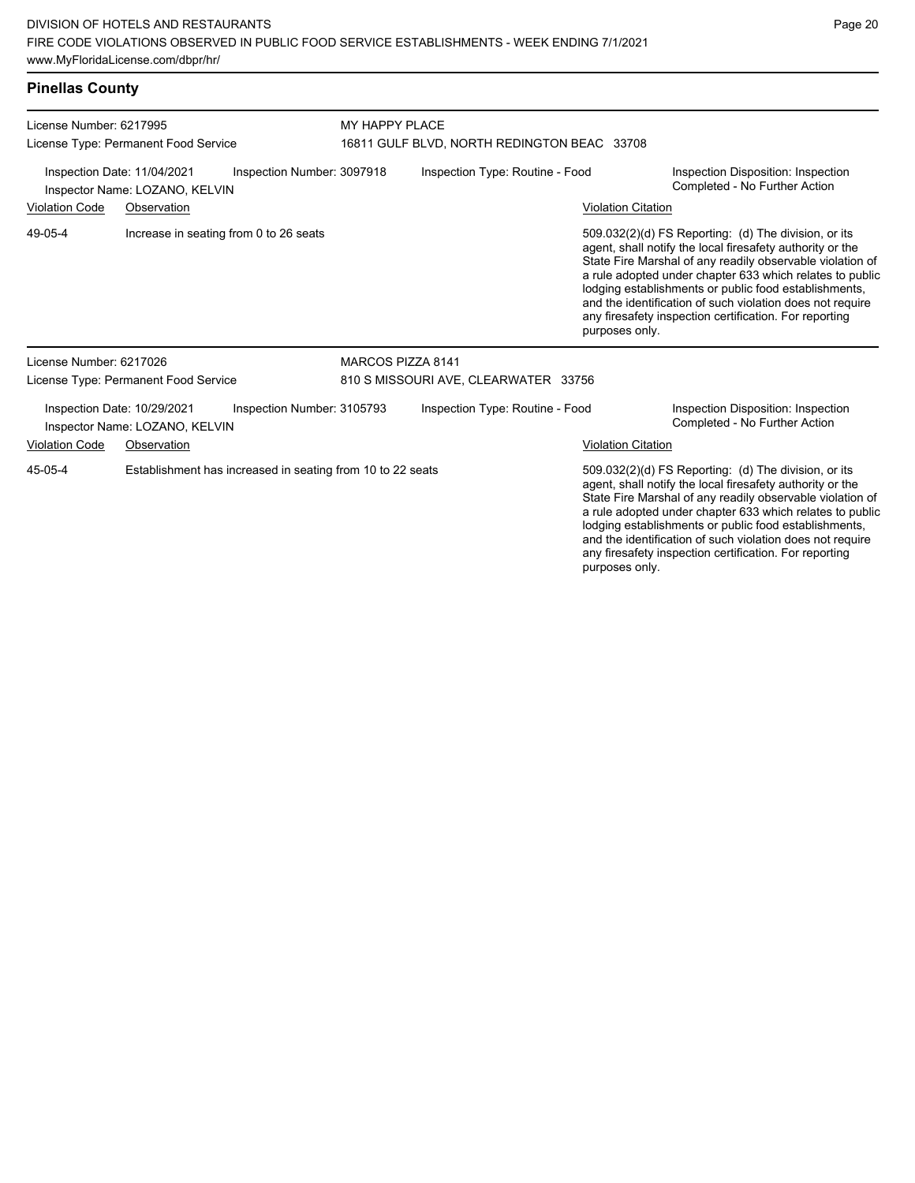### **Pinellas County**

| License Number: 6217995<br>License Type: Permanent Food Service<br>Inspection Date: 11/04/2021<br>Inspection Number: 3097918<br>Inspector Name: LOZANO, KELVIN |  |                                                            | MY HAPPY PLACE                              |                                 |                           |                                                                                                                                                                                                                                                                                                                                                                                                                            |  |
|----------------------------------------------------------------------------------------------------------------------------------------------------------------|--|------------------------------------------------------------|---------------------------------------------|---------------------------------|---------------------------|----------------------------------------------------------------------------------------------------------------------------------------------------------------------------------------------------------------------------------------------------------------------------------------------------------------------------------------------------------------------------------------------------------------------------|--|
|                                                                                                                                                                |  |                                                            | 16811 GULF BLVD, NORTH REDINGTON BEAC 33708 |                                 |                           |                                                                                                                                                                                                                                                                                                                                                                                                                            |  |
|                                                                                                                                                                |  |                                                            |                                             | Inspection Type: Routine - Food |                           | Inspection Disposition: Inspection<br>Completed - No Further Action                                                                                                                                                                                                                                                                                                                                                        |  |
| <b>Violation Code</b><br>Observation                                                                                                                           |  |                                                            |                                             |                                 | <b>Violation Citation</b> |                                                                                                                                                                                                                                                                                                                                                                                                                            |  |
| 49-05-4                                                                                                                                                        |  | Increase in seating from 0 to 26 seats                     |                                             |                                 | purposes only.            | 509.032(2)(d) FS Reporting: (d) The division, or its<br>agent, shall notify the local firesafety authority or the<br>State Fire Marshal of any readily observable violation of<br>a rule adopted under chapter 633 which relates to public<br>lodging establishments or public food establishments,<br>and the identification of such violation does not require<br>any firesafety inspection certification. For reporting |  |
| License Number: 6217026                                                                                                                                        |  |                                                            | <b>MARCOS PIZZA 8141</b>                    |                                 |                           |                                                                                                                                                                                                                                                                                                                                                                                                                            |  |
| License Type: Permanent Food Service                                                                                                                           |  |                                                            | 810 S MISSOURI AVE, CLEARWATER 33756        |                                 |                           |                                                                                                                                                                                                                                                                                                                                                                                                                            |  |
| Inspection Number: 3105793<br>Inspection Date: 10/29/2021<br>Inspector Name: LOZANO, KELVIN                                                                    |  |                                                            |                                             | Inspection Type: Routine - Food |                           | Inspection Disposition: Inspection<br>Completed - No Further Action                                                                                                                                                                                                                                                                                                                                                        |  |
| <b>Violation Code</b><br>Observation                                                                                                                           |  |                                                            |                                             |                                 | <b>Violation Citation</b> |                                                                                                                                                                                                                                                                                                                                                                                                                            |  |
| 45-05-4                                                                                                                                                        |  | Establishment has increased in seating from 10 to 22 seats |                                             |                                 |                           | 509.032(2)(d) FS Reporting: (d) The division, or its<br>agent, shall notify the local firesafety authority or the<br>State Fire Marshal of any readily observable violation of<br>a rule adopted under chapter 633 which relates to public<br>lodging establishments or public food establishments,<br>and the identification of such violation does not require                                                           |  |

any firesafety inspection certification. For reporting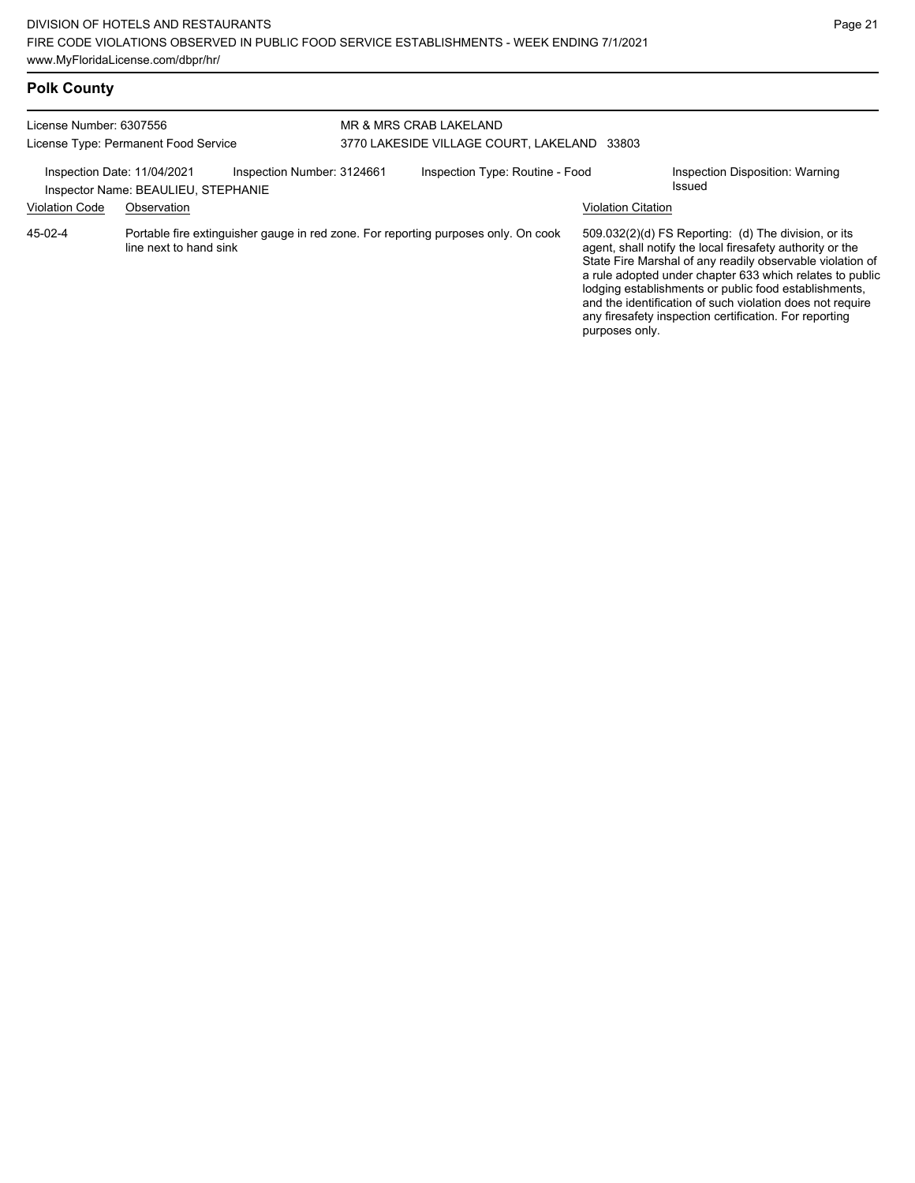# **Polk County**

| License Number: 6307556<br>License Type: Permanent Food Service                                                                          |                                                                                                              |  | MR & MRS CRAB LAKELAND<br>3770 LAKESIDE VILLAGE COURT, LAKELAND<br>33803 |  |                                                                                                                                                                                                                                                                                                                                                                                                                                                |                                 |  |
|------------------------------------------------------------------------------------------------------------------------------------------|--------------------------------------------------------------------------------------------------------------|--|--------------------------------------------------------------------------|--|------------------------------------------------------------------------------------------------------------------------------------------------------------------------------------------------------------------------------------------------------------------------------------------------------------------------------------------------------------------------------------------------------------------------------------------------|---------------------------------|--|
| Inspection Number: 3124661<br>Inspection Date: 11/04/2021<br>Inspector Name: BEAULIEU, STEPHANIE<br><b>Violation Code</b><br>Observation |                                                                                                              |  | Inspection Type: Routine - Food<br>Issued<br><b>Violation Citation</b>   |  |                                                                                                                                                                                                                                                                                                                                                                                                                                                | Inspection Disposition: Warning |  |
| 45-02-4                                                                                                                                  | Portable fire extinguisher gauge in red zone. For reporting purposes only. On cook<br>line next to hand sink |  |                                                                          |  | $509.032(2)(d)$ FS Reporting: (d) The division, or its<br>agent, shall notify the local firesafety authority or the<br>State Fire Marshal of any readily observable violation of<br>a rule adopted under chapter 633 which relates to public<br>lodging establishments or public food establishments,<br>and the identification of such violation does not require<br>any firesafety inspection certification. For reporting<br>purposes only. |                                 |  |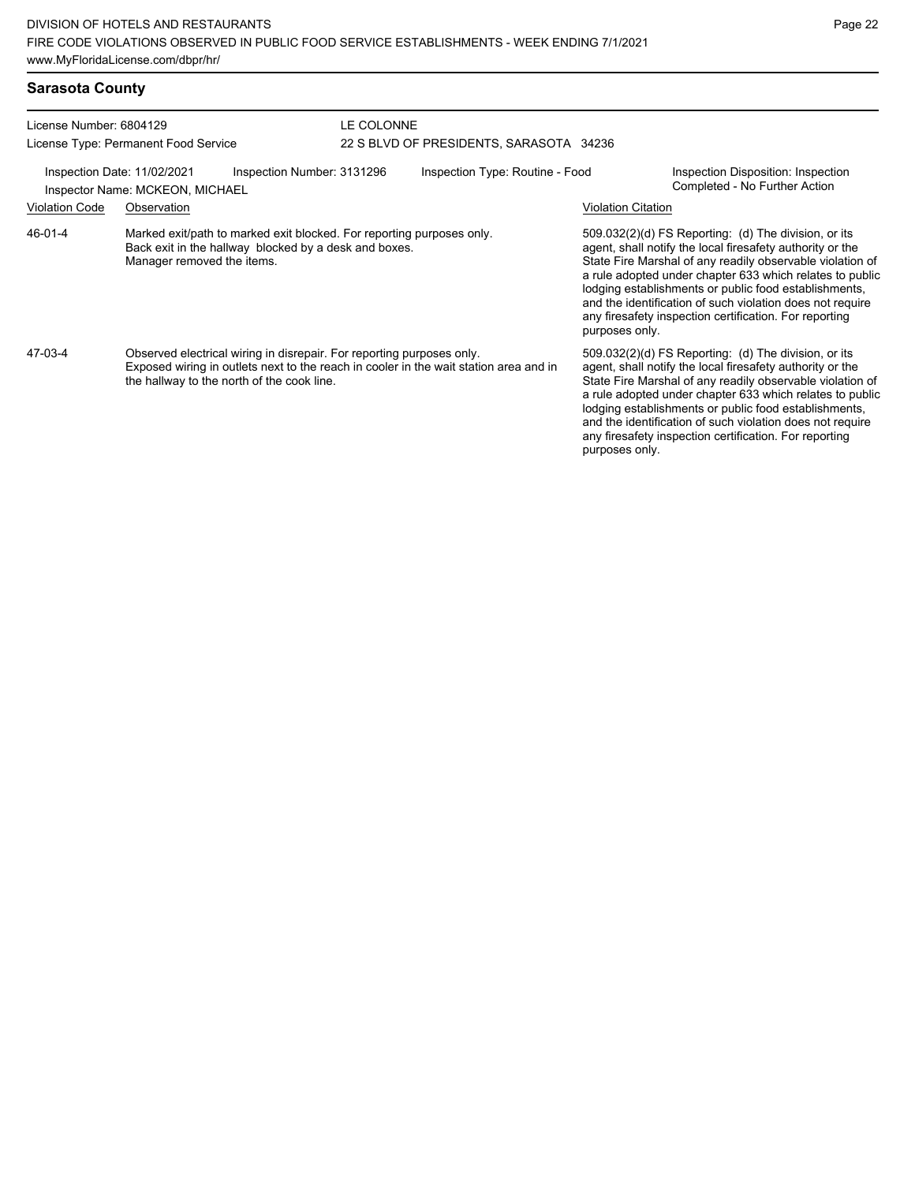| <b>Sarasota County</b>                                                                                                         |                                                                                                                                                              |                                                                                       |  |                                                                                                                                                                                                                                                                                                                                                                                                                                              |                                                                     |  |  |
|--------------------------------------------------------------------------------------------------------------------------------|--------------------------------------------------------------------------------------------------------------------------------------------------------------|---------------------------------------------------------------------------------------|--|----------------------------------------------------------------------------------------------------------------------------------------------------------------------------------------------------------------------------------------------------------------------------------------------------------------------------------------------------------------------------------------------------------------------------------------------|---------------------------------------------------------------------|--|--|
| License Number: 6804129                                                                                                        | License Type: Permanent Food Service                                                                                                                         | LE COLONNE<br>22 S BLVD OF PRESIDENTS, SARASOTA 34236                                 |  |                                                                                                                                                                                                                                                                                                                                                                                                                                              |                                                                     |  |  |
|                                                                                                                                | Inspection Date: 11/02/2021<br>Inspection Number: 3131296<br>Inspector Name: MCKEON, MICHAEL                                                                 | Inspection Type: Routine - Food                                                       |  |                                                                                                                                                                                                                                                                                                                                                                                                                                              | Inspection Disposition: Inspection<br>Completed - No Further Action |  |  |
| <b>Violation Code</b>                                                                                                          | Observation                                                                                                                                                  | <b>Violation Citation</b>                                                             |  |                                                                                                                                                                                                                                                                                                                                                                                                                                              |                                                                     |  |  |
| 46-01-4                                                                                                                        | Marked exit/path to marked exit blocked. For reporting purposes only.<br>Back exit in the hallway blocked by a desk and boxes.<br>Manager removed the items. |                                                                                       |  | 509.032(2)(d) FS Reporting: (d) The division, or its<br>agent, shall notify the local firesafety authority or the<br>State Fire Marshal of any readily observable violation of<br>a rule adopted under chapter 633 which relates to public<br>lodging establishments or public food establishments,<br>and the identification of such violation does not require<br>any firesafety inspection certification. For reporting<br>purposes only. |                                                                     |  |  |
| 47-03-4<br>Observed electrical wiring in disrepair. For reporting purposes only.<br>the hallway to the north of the cook line. |                                                                                                                                                              | Exposed wiring in outlets next to the reach in cooler in the wait station area and in |  | 509.032(2)(d) FS Reporting: (d) The division, or its<br>agent, shall notify the local firesafety authority or the<br>State Fire Marshal of any readily observable violation of<br>a rule adopted under chapter 633 which relates to public<br>lodging establishments or public food establishments,<br>and the identification of such violation does not require<br>any firesafety inspection certification. For reporting<br>purposes only. |                                                                     |  |  |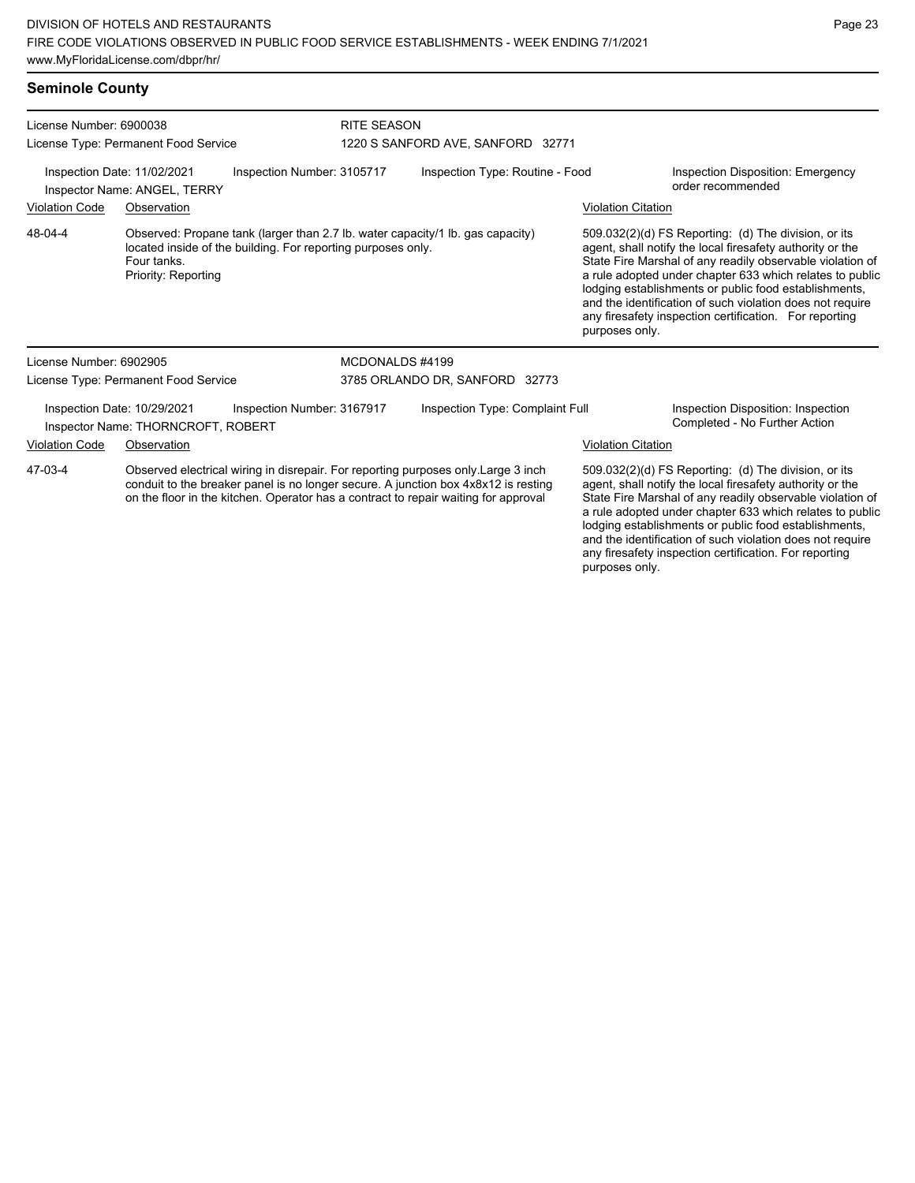#### **Seminole County**

| License Number: 6900038<br>License Type: Permanent Food Service<br>Inspection Date: 11/02/2021<br>Inspection Number: 3105717<br>Inspector Name: ANGEL, TERRY |                                                                   |                                                              | <b>RITE SEASON</b>                |                                                                                                                                                                                                                                                                |                           |                                                                                                                                                                                                                                                                                                                                                                                                                            |  |  |
|--------------------------------------------------------------------------------------------------------------------------------------------------------------|-------------------------------------------------------------------|--------------------------------------------------------------|-----------------------------------|----------------------------------------------------------------------------------------------------------------------------------------------------------------------------------------------------------------------------------------------------------------|---------------------------|----------------------------------------------------------------------------------------------------------------------------------------------------------------------------------------------------------------------------------------------------------------------------------------------------------------------------------------------------------------------------------------------------------------------------|--|--|
|                                                                                                                                                              |                                                                   |                                                              | 1220 S SANFORD AVE, SANFORD 32771 |                                                                                                                                                                                                                                                                |                           |                                                                                                                                                                                                                                                                                                                                                                                                                            |  |  |
|                                                                                                                                                              |                                                                   |                                                              | Inspection Type: Routine - Food   |                                                                                                                                                                                                                                                                |                           | <b>Inspection Disposition: Emergency</b><br>order recommended                                                                                                                                                                                                                                                                                                                                                              |  |  |
| <b>Violation Code</b>                                                                                                                                        | Observation                                                       |                                                              |                                   |                                                                                                                                                                                                                                                                | <b>Violation Citation</b> |                                                                                                                                                                                                                                                                                                                                                                                                                            |  |  |
| 48-04-4                                                                                                                                                      | Four tanks.<br>Priority: Reporting                                | located inside of the building. For reporting purposes only. |                                   | Observed: Propane tank (larger than 2.7 lb. water capacity/1 lb. gas capacity)                                                                                                                                                                                 | purposes only.            | 509.032(2)(d) FS Reporting: (d) The division, or its<br>agent, shall notify the local firesafety authority or the<br>State Fire Marshal of any readily observable violation of<br>a rule adopted under chapter 633 which relates to public<br>lodging establishments or public food establishments,<br>and the identification of such violation does not require<br>any firesafety inspection certification. For reporting |  |  |
| License Number: 6902905                                                                                                                                      |                                                                   |                                                              | MCDONALDS #4199                   |                                                                                                                                                                                                                                                                |                           |                                                                                                                                                                                                                                                                                                                                                                                                                            |  |  |
| License Type: Permanent Food Service                                                                                                                         |                                                                   |                                                              |                                   | 3785 ORLANDO DR, SANFORD 32773                                                                                                                                                                                                                                 |                           |                                                                                                                                                                                                                                                                                                                                                                                                                            |  |  |
|                                                                                                                                                              | Inspection Date: 10/29/2021<br>Inspector Name: THORNCROFT, ROBERT | Inspection Number: 3167917                                   |                                   | Inspection Type: Complaint Full                                                                                                                                                                                                                                |                           | Inspection Disposition: Inspection<br>Completed - No Further Action                                                                                                                                                                                                                                                                                                                                                        |  |  |
| <b>Violation Code</b>                                                                                                                                        | Observation                                                       |                                                              |                                   |                                                                                                                                                                                                                                                                | <b>Violation Citation</b> |                                                                                                                                                                                                                                                                                                                                                                                                                            |  |  |
| 47-03-4                                                                                                                                                      |                                                                   |                                                              |                                   | Observed electrical wiring in disrepair. For reporting purposes only Large 3 inch<br>conduit to the breaker panel is no longer secure. A junction box 4x8x12 is resting<br>on the floor in the kitchen. Operator has a contract to repair waiting for approval |                           | 509.032(2)(d) FS Reporting: (d) The division, or its<br>agent, shall notify the local firesafety authority or the<br>State Fire Marshal of any readily observable violation of<br>a rule adopted under chapter 633 which relates to public<br>lodging establishments or public food establishments,                                                                                                                        |  |  |

and the identification of such violation does not require any firesafety inspection certification. For reporting